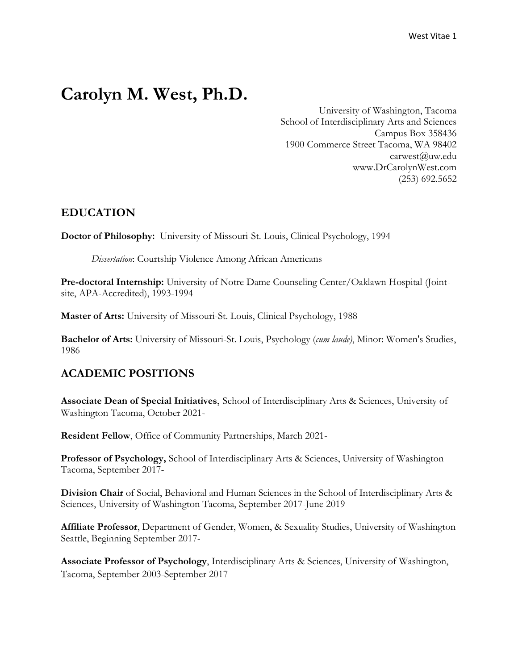# **Carolyn M. West, Ph.D.**

University of Washington, Tacoma School of Interdisciplinary Arts and Sciences Campus Box 358436 1900 Commerce Street Tacoma, WA 98402 carwest@uw.edu www.DrCarolynWest.com (253) 692.5652

# **EDUCATION**

**Doctor of Philosophy:** University of Missouri-St. Louis, Clinical Psychology, 1994

*Dissertation*: Courtship Violence Among African Americans

**Pre-doctoral Internship:** University of Notre Dame Counseling Center/Oaklawn Hospital (Jointsite, APA-Accredited), 1993-1994

**Master of Arts:** University of Missouri-St. Louis, Clinical Psychology, 1988

**Bachelor of Arts:** University of Missouri-St. Louis, Psychology (*cum laude)*, Minor: Women's Studies, 1986

# **ACADEMIC POSITIONS**

**Associate Dean of Special Initiatives**, School of Interdisciplinary Arts & Sciences, University of Washington Tacoma, October 2021-

**Resident Fellow**, Office of Community Partnerships, March 2021-

**Professor of Psychology,** School of Interdisciplinary Arts & Sciences, University of Washington Tacoma, September 2017-

**Division Chair** of Social, Behavioral and Human Sciences in the School of Interdisciplinary Arts & Sciences, University of Washington Tacoma, September 2017-June 2019

**Affiliate Professor**, Department of Gender, Women, & Sexuality Studies, University of Washington Seattle, Beginning September 2017-

**Associate Professor of Psychology**, Interdisciplinary Arts & Sciences, University of Washington, Tacoma, September 2003-September 2017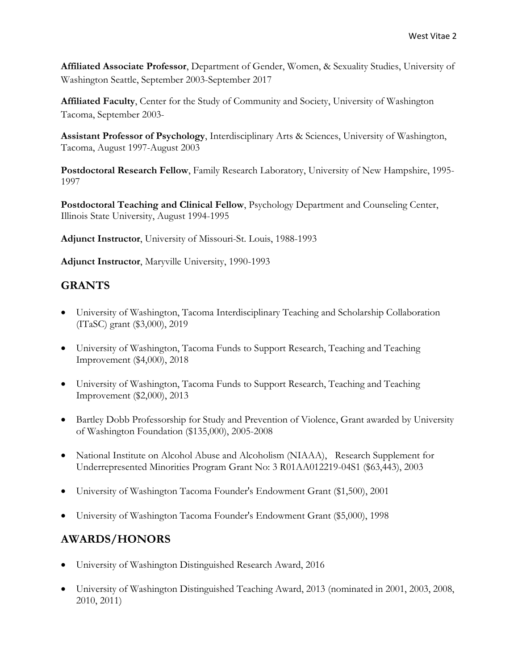**Affiliated Associate Professor**, Department of Gender, Women, & Sexuality Studies, University of Washington Seattle, September 2003-September 2017

**Affiliated Faculty**, Center for the Study of Community and Society, University of Washington Tacoma, September 2003-

**Assistant Professor of Psychology**, Interdisciplinary Arts & Sciences, University of Washington, Tacoma, August 1997-August 2003

**Postdoctoral Research Fellow**, Family Research Laboratory, University of New Hampshire, 1995- 1997

**Postdoctoral Teaching and Clinical Fellow**, Psychology Department and Counseling Center, Illinois State University, August 1994-1995

**Adjunct Instructor**, University of Missouri-St. Louis, 1988-1993

**Adjunct Instructor**, Maryville University, 1990-1993

# **GRANTS**

- University of Washington, Tacoma Interdisciplinary Teaching and Scholarship Collaboration (ITaSC) grant (\$3,000), 2019
- University of Washington, Tacoma Funds to Support Research, Teaching and Teaching Improvement (\$4,000), 2018
- University of Washington, Tacoma Funds to Support Research, Teaching and Teaching Improvement (\$2,000), 2013
- Bartley Dobb Professorship for Study and Prevention of Violence, Grant awarded by University of Washington Foundation (\$135,000), 2005-2008
- National Institute on Alcohol Abuse and Alcoholism (NIAAA), Research Supplement for Underrepresented Minorities Program Grant No: 3 R01AA012219-04S1 (\$63,443), 2003
- University of Washington Tacoma Founder's Endowment Grant (\$1,500), 2001
- University of Washington Tacoma Founder's Endowment Grant (\$5,000), 1998

# **AWARDS/HONORS**

- University of Washington Distinguished Research Award, 2016
- University of Washington Distinguished Teaching Award, 2013 (nominated in 2001, 2003, 2008, 2010, 2011)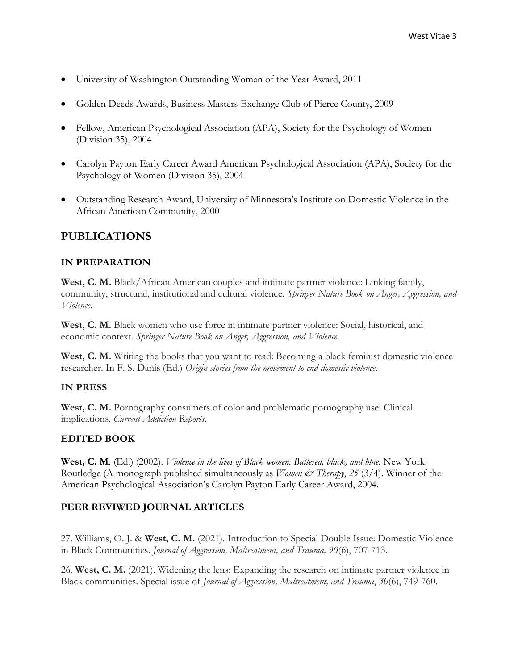- University of Washington Outstanding Woman of the Year Award, 2011
- Golden Deeds Awards, Business Masters Exchange Club of Pierce County, 2009
- Fellow, American Psychological Association (APA), Society for the Psychology of Women (Division 35), 2004
- Carolyn Payton Early Career Award American Psychological Association (APA), Society for the Psychology of Women (Division 35), 2004
- Outstanding Research Award, University of Minnesota's Institute on Domestic Violence in the African American Community, 2000

# **PUBLICATIONS**

### **IN PREPARATION**

**West, C. M.** Black/African American couples and intimate partner violence: Linking family, community, structural, institutional and cultural violence. *Springer Nature Book on Anger, Aggression, and Violence*.

**West, C. M.** Black women who use force in intimate partner violence: Social, historical, and economic context. *Springer Nature Book on Anger, Aggression, and Violence.*

West, C. M. Writing the books that you want to read: Becoming a black feminist domestic violence researcher. In F. S. Danis (Ed.) *Origin stories from the movement to end domestic violence*.

#### **IN PRESS**

**West, C. M.** Pornography consumers of color and problematic pornography use: Clinical implications. *Current Addiction Reports*.

# **EDITED BOOK**

**West, C. M**. (Ed.) (2002). *Violence in the lives of Black women: Battered, black, and blue*. New York: Routledge (A monograph published simultaneously as *Women*  $\mathcal{Q}$ *<sup>\*</sup> Therapy*, 25 (3/4). Winner of the American Psychological Association's Carolyn Payton Early Career Award, 2004.

# **PEER REVIWED JOURNAL ARTICLES**

27. Williams, O. J. & **West, C. M.** (2021). Introduction to Special Double Issue: Domestic Violence in Black Communities. *Journal of Aggression, Maltreatment, and Trauma, 30*(6), 707-713.

26. **West, C. M.** (2021). Widening the lens: Expanding the research on intimate partner violence in Black communities. Special issue of *Journal of Aggression, Maltreatment, and Trauma*, *30*(6), 749-760.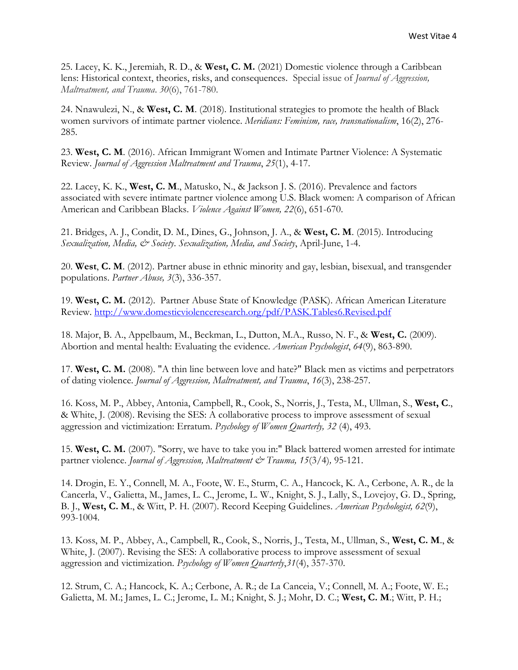25. Lacey, K. K., Jeremiah, R. D., & **West, C. M.** (2021) Domestic violence through a Caribbean lens: Historical context, theories, risks, and consequences. Special issue of *Journal of Aggression, Maltreatment, and Trauma*. *30*(6), 761-780.

24. Nnawulezi, N., & **West, C. M**. (2018). Institutional strategies to promote the health of Black women survivors of intimate partner violence. *Meridians: Feminism, race, transnationalism*, 16(2), 276- 285.

23. **West, C. M**. (2016). African Immigrant Women and Intimate Partner Violence: A Systematic Review. *Journal of Aggression Maltreatment and Trauma*, *25*(1), 4-17.

22. Lacey, K. K., **West, C. M**., Matusko, N., & Jackson J. S. (2016). Prevalence and factors associated with severe intimate partner violence among U.S. Black women: A comparison of African American and Caribbean Blacks. *Violence Against Women, 22*(6), 651-670.

21. Bridges, A. J., Condit, D. M., Dines, G., Johnson, J. A., & **West, C. M**. (2015). Introducing *Sexualization, Media, & Society*. *Sexualization, Media, and Society*, April-June, 1-4.

20. **West**, **C. M**. (2012). Partner abuse in ethnic minority and gay, lesbian, bisexual, and transgender populations. *Partner Abuse, 3*(3), 336-357.

19. **West, C. M.** (2012). Partner Abuse State of Knowledge (PASK). African American Literature Review.<http://www.domesticviolenceresearch.org/pdf/PASK.Tables6.Revised.pdf>

18. Major, B. A., Appelbaum, M., Beckman, L., Dutton, M.A., Russo, N. F., & **West, C.** (2009). Abortion and mental health: Evaluating the evidence. *American Psychologist*, *64*(9), 863-890.

17. **West, C. M.** (2008). "A thin line between love and hate?" Black men as victims and perpetrators of dating violence. *Journal of Aggression, Maltreatment, and Trauma*, *16*(3), 238-257.

16. Koss, M. P., Abbey, Antonia, Campbell, R., Cook, S., Norris, J., Testa, M., Ullman, S., **West, C**., & White, J. (2008). Revising the SES: A collaborative process to improve assessment of sexual aggression and victimization: Erratum. *Psychology of Women Quarterly, 32* (4), 493.

15. **West, C. M.** (2007). "Sorry, we have to take you in:" Black battered women arrested for intimate partner violence. *Journal of Aggression, Maltreatment & Trauma, 15*(3/4)*,* 95-121.

14. Drogin, E. Y., Connell, M. A., Foote, W. E., Sturm, C. A., Hancock, K. A., Cerbone, A. R., de la Cancerla, V., Galietta, M., James, L. C., Jerome, L. W., Knight, S. J., Lally, S., Lovejoy, G. D., Spring, B. J., **West, C. M**., & Witt, P. H. (2007). Record Keeping Guidelines. *American Psychologist, 62*(9), 993-1004.

13. Koss, M. P., Abbey, A., Campbell, R., Cook, S., Norris, J., Testa, M., Ullman, S., **West, C. M**., & White, J. (2007). Revising the SES: A collaborative process to improve assessment of sexual aggression and victimization. *Psychology of Women Quarterly*,*31*(4), 357-370.

12. Strum, C. A.; Hancock, K. A.; Cerbone, A. R.; de La Canceia, V.; Connell, M. A.; Foote, W. E.; Galietta, M. M.; James, L. C.; Jerome, L. M.; Knight, S. J.; Mohr, D. C.; **West, C. M**.; Witt, P. H.;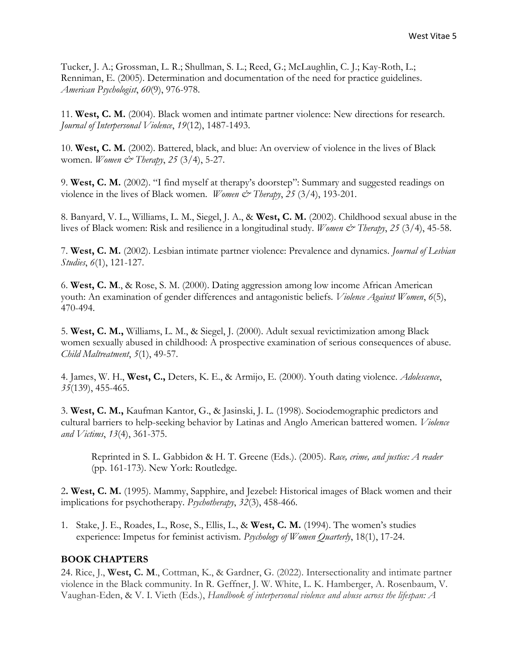Tucker, J. A.; Grossman, L. R.; Shullman, S. L.; Reed, G.; McLaughlin, C. J.; Kay-Roth, L.; Renniman, E. (2005). Determination and documentation of the need for practice guidelines. *American Psychologist*, *60*(9), 976-978.

11. **West, C. M.** (2004). Black women and intimate partner violence: New directions for research. *Journal of Interpersonal Violence*, *19*(12), 1487-1493.

10. **West, C. M.** (2002). Battered, black, and blue: An overview of violence in the lives of Black women. *Women & Therapy*, *25* (3/4), 5-27.

9. **West, C. M.** (2002). "I find myself at therapy's doorstep": Summary and suggested readings on violence in the lives of Black women. *Women & Therapy*, 25 (3/4), 193-201.

8. Banyard, V. L., Williams, L. M., Siegel, J. A., & **West, C. M.** (2002). Childhood sexual abuse in the lives of Black women: Risk and resilience in a longitudinal study. *Women & Therapy*, 25 (3/4), 45-58.

7. **West, C. M.** (2002). Lesbian intimate partner violence: Prevalence and dynamics. *Journal of Lesbian Studies*, *6*(1), 121-127.

6. **West, C. M**., & Rose, S. M. (2000). Dating aggression among low income African American youth: An examination of gender differences and antagonistic beliefs. *Violence Against Women*, *6*(5), 470-494.

5. **West, C. M.,** Williams, L. M., & Siegel, J. (2000). Adult sexual revictimization among Black women sexually abused in childhood: A prospective examination of serious consequences of abuse. *Child Maltreatment*, *5*(1), 49-57.

4. James, W. H., **West, C.,** Deters, K. E., & Armijo, E. (2000). Youth dating violence. *Adolescence*, *35*(139), 455-465.

3. **West, C. M.,** Kaufman Kantor, G., & Jasinski, J. L. (1998). Sociodemographic predictors and cultural barriers to help-seeking behavior by Latinas and Anglo American battered women. *Violence and Victims*, *13*(4), 361-375.

Reprinted in S. L. Gabbidon & H. T. Greene (Eds.). (2005). *Race, crime, and justice: A reader* (pp. 161-173). New York: Routledge.

2**. West, C. M.** (1995). Mammy, Sapphire, and Jezebel: Historical images of Black women and their implications for psychotherapy. *Psychotherapy*, *32*(3), 458-466.

1. Stake, J. E., Roades, L., Rose, S., Ellis, L., & **West, C. M.** (1994). The women's studies experience: Impetus for feminist activism. *Psychology of Women Quarterly*, 18(1), 17-24.

#### **BOOK CHAPTERS**

24. Rice, J., **West, C. M**., Cottman, K., & Gardner, G. (2022). Intersectionality and intimate partner violence in the Black community. In R. Geffner, J. W. White, L. K. Hamberger, A. Rosenbaum, V. Vaughan-Eden, & V. I. Vieth (Eds.), *Handbook of interpersonal violence and abuse across the lifespan: A*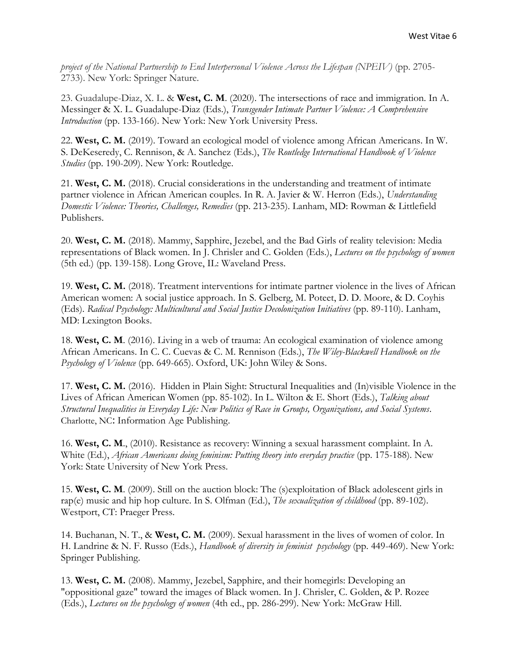*project of the National Partnership to End Interpersonal Violence Across the Lifespan (NPEIV)* (pp. 2705- 2733). New York: Springer Nature.

23. Guadalupe-Diaz, X. L. & **West, C. M**. (2020). The intersections of race and immigration. In A. Messinger & X. L. Guadalupe-Diaz (Eds.), *Transgender Intimate Partner Violence: A Comprehensive Introduction* (pp. 133-166). New York: New York University Press.

22. **West, C. M.** (2019). Toward an ecological model of violence among African Americans. In W. S. DeKeseredy, C. Rennison, & A. Sanchez (Eds.), *The Routledge International Handbook of Violence Studies* (pp. 190-209). New York: Routledge.

21. **West, C. M.** (2018). Crucial considerations in the understanding and treatment of intimate partner violence in African American couples. In R. A. Javier & W. Herron (Eds.), *Understanding Domestic Violence: Theories, Challenges, Remedies* (pp. 213-235). Lanham, MD: Rowman & Littlefield Publishers.

20. **West, C. M.** (2018). Mammy, Sapphire, Jezebel, and the Bad Girls of reality television: Media representations of Black women. In J. Chrisler and C. Golden (Eds.), *Lectures on the psychology of women* (5th ed.) (pp. 139-158). Long Grove, IL: Waveland Press.

19. **West, C. M.** (2018). Treatment interventions for intimate partner violence in the lives of African American women: A social justice approach. In S. Gelberg, M. Poteet, D. D. Moore, & D. Coyhis (Eds). *Radical Psychology: Multicultural and Social Justice Decolonization Initiatives* (pp. 89-110). Lanham, MD: Lexington Books.

18. **West, C. M**. (2016). Living in a web of trauma: An ecological examination of violence among African Americans. In C. C. Cuevas & C. M. Rennison (Eds.), *The Wiley-Blackwell Handbook on the Psychology of Violence* (pp. 649-665). Oxford, UK: John Wiley & Sons.

17. **West, C. M.** (2016). Hidden in Plain Sight: Structural Inequalities and (In)visible Violence in the Lives of African American Women (pp. 85-102). In L. Wilton & E. Short (Eds.), *Talking about Structural Inequalities in Everyday Life: New Politics of Race in Groups, Organizations, and Social Systems*. Charlotte, NC: Information Age Publishing.

16. **West, C. M**., (2010). Resistance as recovery: Winning a sexual harassment complaint. In A. White (Ed.), *African Americans doing feminism: Putting theory into everyday practice* (pp. 175-188). New York: State University of New York Press.

15. **West, C. M**. (2009). Still on the auction block: The (s)exploitation of Black adolescent girls in rap(e) music and hip hop culture. In S. Olfman (Ed.), *The sexualization of childhood* (pp. 89-102). Westport, CT: Praeger Press.

14. Buchanan, N. T., & **West, C. M.** (2009). Sexual harassment in the lives of women of color. In H. Landrine & N. F. Russo (Eds.), *Handbook of diversity in feminist psychology* (pp. 449-469). New York: Springer Publishing.

13. **West, C. M.** (2008). Mammy, Jezebel, Sapphire, and their homegirls: Developing an "oppositional gaze" toward the images of Black women. In J. Chrisler, C. Golden, & P. Rozee (Eds.), *Lectures on the psychology of women* (4th ed., pp. 286-299). New York: McGraw Hill.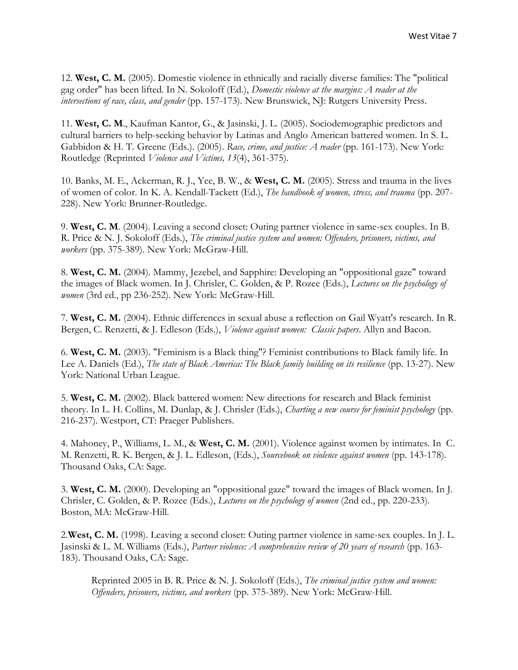12. **West, C. M.** (2005). Domestic violence in ethnically and racially diverse families: The "political gag order" has been lifted. In N. Sokoloff (Ed.), *Domestic violence at the margins: A reader at the intersections of race, class, and gender* (pp. 157-173). New Brunswick, NJ: Rutgers University Press.

11. **West, C. M**., Kaufman Kantor, G., & Jasinski, J. L. (2005). Sociodemographic predictors and cultural barriers to help-seeking behavior by Latinas and Anglo American battered women. In S. L. Gabbidon & H. T. Greene (Eds.). (2005). *Race, crime, and justice: A reader* (pp. 161-173). New York: Routledge (Reprinted *Violence and Victims, 13*(4), 361-375).

10. Banks, M. E., Ackerman, R. J., Yee, B. W., & **West, C. M.** (2005). Stress and trauma in the lives of women of color. In K. A. Kendall-Tackett (Ed.), *The handbook of women, stress, and trauma* (pp. 207- 228). New York: Brunner-Routledge.

9. **West, C. M**. (2004). Leaving a second closet: Outing partner violence in same-sex couples. In B. R. Price & N. J. Sokoloff (Eds.), *The criminal justice system and women: Offenders, prisoners, victims, and workers* (pp. 375-389). New York: McGraw-Hill.

8. **West, C. M.** (2004). Mammy, Jezebel, and Sapphire: Developing an "oppositional gaze" toward the images of Black women. In J. Chrisler, C. Golden, & P. Rozee (Eds.), *Lectures on the psychology of women* (3rd ed., pp 236-252). New York: McGraw-Hill.

7. **West, C. M.** (2004). Ethnic differences in sexual abuse a reflection on Gail Wyatt's research. In R. Bergen, C. Renzetti, & J. Edleson (Eds.), *Violence against women: Classic papers*. Allyn and Bacon.

6. **West, C. M.** (2003). "Feminism is a Black thing"? Feminist contributions to Black family life. In Lee A. Daniels (Ed.), *The state of Black America: The Black family building on its resilience* (pp. 13-27). New York: National Urban League.

5. **West, C. M.** (2002). Black battered women: New directions for research and Black feminist theory. In L. H. Collins, M. Dunlap, & J. Chrisler (Eds.), *Charting a new course for feminist psychology* (pp. 216-237). Westport, CT: Praeger Publishers.

4. Mahoney, P., Williams, L. M., & **West, C. M.** (2001). Violence against women by intimates. In C. M. Renzetti, R. K. Bergen, & J. L. Edleson, (Eds.), *Sourcebook on violence against women* (pp. 143-178). Thousand Oaks, CA: Sage.

3. **West, C. M.** (2000). Developing an "oppositional gaze" toward the images of Black women. In J. Chrisler, C. Golden, & P. Rozee (Eds.), *Lectures on the psychology of women* (2nd ed., pp. 220-233). Boston, MA: McGraw-Hill.

2.**West, C. M.** (1998). Leaving a second closet: Outing partner violence in same-sex couples. In J. L. Jasinski & L. M. Williams (Eds.), *Partner violence: A comprehensive review of 20 years of research* (pp. 163- 183). Thousand Oaks, CA: Sage.

Reprinted 2005 in B. R. Price & N. J. Sokoloff (Eds.), *The criminal justice system and women: Offenders, prisoners, victims, and workers* (pp. 375-389). New York: McGraw-Hill.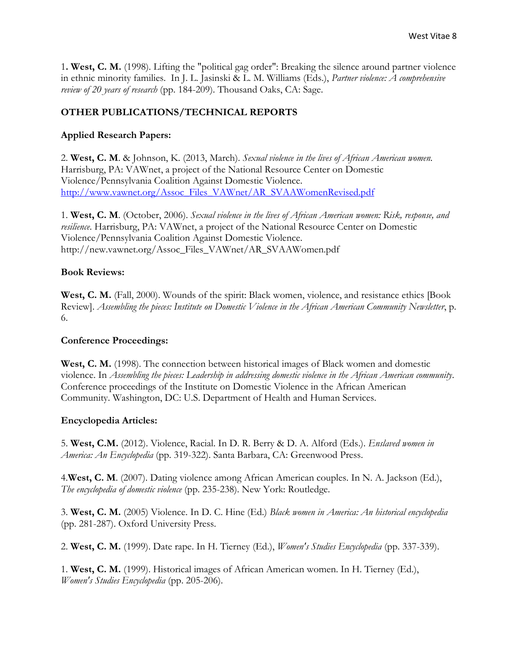1**. West, C. M.** (1998). Lifting the "political gag order": Breaking the silence around partner violence in ethnic minority families. In J. L. Jasinski & L. M. Williams (Eds.), *Partner violence: A comprehensive review of 20 years of research* (pp. 184-209). Thousand Oaks, CA: Sage.

# **OTHER PUBLICATIONS/TECHNICAL REPORTS**

### **Applied Research Papers:**

2. **West, C. M**. & Johnson, K. (2013, March). *Sexual violence in the lives of African American women.* Harrisburg, PA: VAWnet, a project of the National Resource Center on Domestic Violence/Pennsylvania Coalition Against Domestic Violence. [http://www.vawnet.org/Assoc\\_Files\\_VAWnet/AR\\_SVAAWomenRevised.pdf](http://www.vawnet.org/Assoc_Files_VAWnet/AR_SVAAWomenRevised.pdf)

1. **West, C. M**. (October, 2006). *Sexual violence in the lives of African American women: Risk, response, and resilience*. Harrisburg, PA: VAWnet, a project of the National Resource Center on Domestic Violence/Pennsylvania Coalition Against Domestic Violence. http://new.vawnet.org/Assoc\_Files\_VAWnet/AR\_SVAAWomen.pdf

#### **Book Reviews:**

**West, C. M.** (Fall, 2000). Wounds of the spirit: Black women, violence, and resistance ethics [Book Review]. *Assembling the pieces: Institute on Domestic Violence in the African American Community Newsletter*, p. 6.

#### **Conference Proceedings:**

**West, C. M.** (1998). The connection between historical images of Black women and domestic violence. In *Assembling the pieces: Leadership in addressing domestic violence in the African American community*. Conference proceedings of the Institute on Domestic Violence in the African American Community. Washington, DC: U.S. Department of Health and Human Services.

#### **Encyclopedia Articles:**

5. **West, C.M.** (2012). Violence, Racial. In D. R. Berry & D. A. Alford (Eds.). *Enslaved women in America: An Encyclopedia* (pp. 319-322). Santa Barbara, CA: Greenwood Press.

4.**West, C. M**. (2007). Dating violence among African American couples. In N. A. Jackson (Ed.), *The encyclopedia of domestic violence* (pp. 235-238). New York: Routledge.

3. **West, C. M.** (2005) Violence. In D. C. Hine (Ed.) *Black women in America: An historical encyclopedia* (pp. 281-287). Oxford University Press.

2. **West, C. M.** (1999). Date rape. In H. Tierney (Ed.), *Women's Studies Encyclopedia* (pp. 337-339).

1. **West, C. M.** (1999). Historical images of African American women. In H. Tierney (Ed.), *Women's Studies Encyclopedia* (pp. 205-206).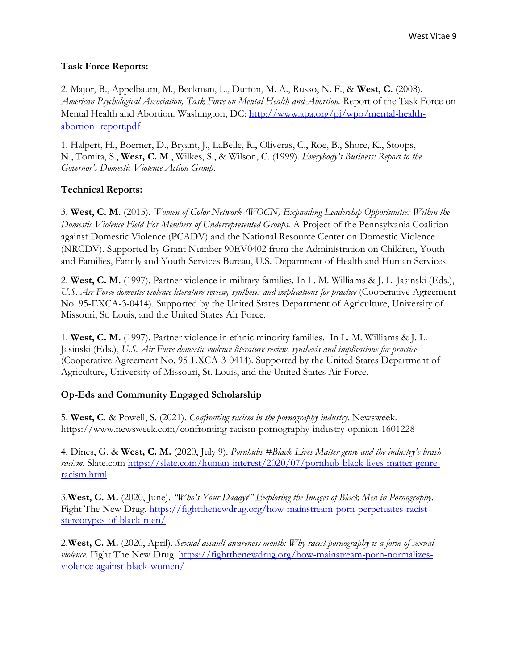### **Task Force Reports:**

2. Major, B., Appelbaum, M., Beckman, L., Dutton, M. A., Russo, N. F., & **West, C.** (2008). *American Psychological Association, Task Force on Mental Health and Abortion.* Report of the Task Force on Mental Health and Abortion. Washington, DC: [http://www.apa.org/pi/wpo/mental-health](http://www.apa.org/pi/wpo/mental-health-abortion-%20report.pdf)abortion- [report.pdf](http://www.apa.org/pi/wpo/mental-health-abortion-%20report.pdf)

1. Halpert, H., Boerner, D., Bryant, J., LaBelle, R., Oliveras, C., Roe, B., Shore, K., Stoops, N., Tomita, S., **West, C. M**., Wilkes, S., & Wilson, C. (1999). *Everybody's Business: Report to the Governor's Domestic Violence Action Group*.

### **Technical Reports:**

3. **West, C. M.** (2015). *Women of Color Network (WOCN) Expanding Leadership Opportunities Within the Domestic Violence Field For Members of Underrepresented Groups.* A Project of the Pennsylvania Coalition against Domestic Violence (PCADV) and the National Resource Center on Domestic Violence (NRCDV). Supported by Grant Number 90EV0402 from the Administration on Children, Youth and Families, Family and Youth Services Bureau, U.S. Department of Health and Human Services.

2. **West, C. M.** (1997). Partner violence in military families. In L. M. Williams & J. L. Jasinski (Eds.), *U.S. Air Force domestic violence literature review, synthesis and implications for practice* (Cooperative Agreement No. 95-EXCA-3-0414). Supported by the United States Department of Agriculture, University of Missouri, St. Louis, and the United States Air Force.

1. **West, C. M.** (1997). Partner violence in ethnic minority families. In L. M. Williams & J. L. Jasinski (Eds.), *U.S. Air Force domestic violence literature review, synthesis and implications for practice* (Cooperative Agreement No. 95-EXCA-3-0414). Supported by the United States Department of Agriculture, University of Missouri, St. Louis, and the United States Air Force.

# **Op-Eds and Community Engaged Scholarship**

5. **West, C**. & Powell, S. (2021). *Confronting racism in the pornography industry*. Newsweek. https://www.newsweek.com/confronting-racism-pornography-industry-opinion-1601228

4. Dines, G. & **West, C. M.** (2020, July 9). *Pornhubs #Black Lives Matter genre and the industry's brash racism*. Slate.com [https://slate.com/human-interest/2020/07/pornhub-black-lives-matter-genre](https://slate.com/human-interest/2020/07/pornhub-black-lives-matter-genre-racism.html)[racism.html](https://slate.com/human-interest/2020/07/pornhub-black-lives-matter-genre-racism.html)

3.**West, C. M.** (2020, June). *"Who's Your Daddy?" Exploring the Images of Black Men in Pornography*. Fight The New Drug. [https://fightthenewdrug.org/how-mainstream-porn-perpetuates-racist](https://fightthenewdrug.org/how-mainstream-porn-perpetuates-racist-stereotypes-of-black-men/)[stereotypes-of-black-men/](https://fightthenewdrug.org/how-mainstream-porn-perpetuates-racist-stereotypes-of-black-men/)

2.**West, C. M.** (2020, April). *Sexual assault awareness month: Why racist pornography is a form of sexual violence*. Fight The New Drug. [https://fightthenewdrug.org/how-mainstream-porn-normalizes](https://fightthenewdrug.org/how-mainstream-porn-normalizes-violence-against-black-women/)[violence-against-black-women/](https://fightthenewdrug.org/how-mainstream-porn-normalizes-violence-against-black-women/)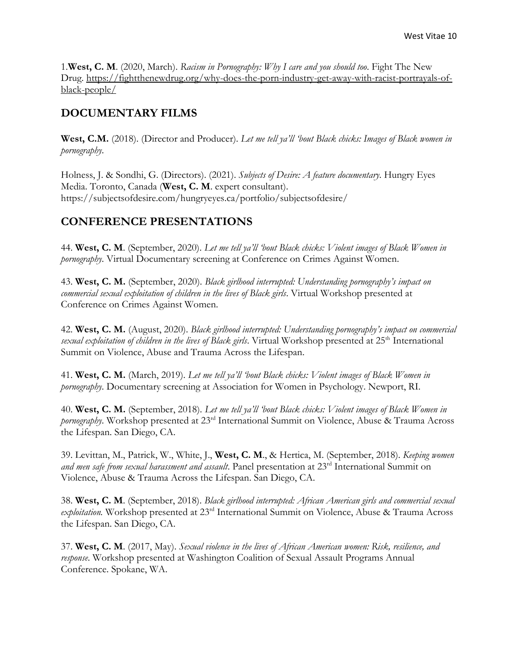1.**West, C. M**. (2020, March). *Racism in Pornography: Why I care and you should too*. Fight The New Drug. [https://fightthenewdrug.org/why-does-the-porn-industry-get-away-with-racist-portrayals-of](https://fightthenewdrug.org/why-does-the-porn-industry-get-away-with-racist-portrayals-of-black-people/)[black-people/](https://fightthenewdrug.org/why-does-the-porn-industry-get-away-with-racist-portrayals-of-black-people/)

# **DOCUMENTARY FILMS**

**West, C.M.** (2018). (Director and Producer). *Let me tell ya'll 'bout Black chicks: Images of Black women in pornography*.

Holness, J. & Sondhi, G. (Directors). (2021). *Subjects of Desire: A feature documentary*. Hungry Eyes Media. Toronto, Canada (**West, C. M**. expert consultant). https://subjectsofdesire.com/hungryeyes.ca/portfolio/subjectsofdesire/

# **CONFERENCE PRESENTATIONS**

44. **West, C. M**. (September, 2020). *Let me tell ya'll 'bout Black chicks: Violent images of Black Women in pornography*. Virtual Documentary screening at Conference on Crimes Against Women.

43. **West, C. M.** (September, 2020). *Black girlhood interrupted: Understanding pornography's impact on commercial sexual exploitation of children in the lives of Black girls*. Virtual Workshop presented at Conference on Crimes Against Women.

42. **West, C. M.** (August, 2020). *Black girlhood interrupted: Understanding pornography's impact on commercial sexual exploitation of children in the lives of Black girls*. Virtual Workshop presented at 25<sup>th</sup> International Summit on Violence, Abuse and Trauma Across the Lifespan.

41. **West, C. M.** (March, 2019). *Let me tell ya'll 'bout Black chicks: Violent images of Black Women in pornography*. Documentary screening at Association for Women in Psychology. Newport, RI.

40. **West, C. M.** (September, 2018). *Let me tell ya'll 'bout Black chicks: Violent images of Black Women in pornography*. Workshop presented at 23rd International Summit on Violence, Abuse & Trauma Across the Lifespan. San Diego, CA.

39. Levittan, M., Patrick, W., White, J., **West, C. M**., & Hertica, M. (September, 2018). *Keeping women*  and men safe from sexual harassment and assault. Panel presentation at 23<sup>rd</sup> International Summit on Violence, Abuse & Trauma Across the Lifespan. San Diego, CA.

38. **West, C. M**. (September, 2018). *Black girlhood interrupted: African American girls and commercial sexual*  exploitation. Workshop presented at 23<sup>rd</sup> International Summit on Violence, Abuse & Trauma Across the Lifespan. San Diego, CA.

37. **West, C. M**. (2017, May). *Sexual violence in the lives of African American women: Risk, resilience, and response*. Workshop presented at Washington Coalition of Sexual Assault Programs Annual Conference. Spokane, WA.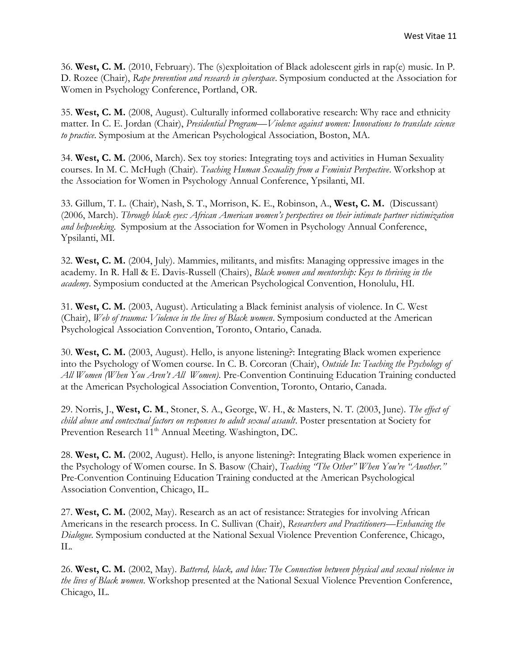36. **West, C. M.** (2010, February). The (s)exploitation of Black adolescent girls in rap(e) music. In P. D. Rozee (Chair), *Rape prevention and research in cyberspace*. Symposium conducted at the Association for Women in Psychology Conference, Portland, OR.

35. **West, C. M.** (2008, August). Culturally informed collaborative research: Why race and ethnicity matter. In C. E. Jordan (Chair), *Presidential Program—Violence against women: Innovations to translate science to practice*. Symposium at the American Psychological Association, Boston, MA.

34. **West, C. M.** (2006, March). Sex toy stories: Integrating toys and activities in Human Sexuality courses. In M. C. McHugh (Chair). *Teaching Human Sexuality from a Feminist Perspective*. Workshop at the Association for Women in Psychology Annual Conference, Ypsilanti, MI.

33. Gillum, T. L. (Chair), Nash, S. T., Morrison, K. E., Robinson, A., **West, C. M.** (Discussant) (2006, March). *Through black eyes: African American women's perspectives on their intimate partner victimization and helpseeking*. Symposium at the Association for Women in Psychology Annual Conference, Ypsilanti, MI.

32. **West, C. M.** (2004, July). Mammies, militants, and misfits: Managing oppressive images in the academy. In R. Hall & E. Davis-Russell (Chairs), *Black women and mentorship: Keys to thriving in the academy*. Symposium conducted at the American Psychological Convention, Honolulu, HI.

31. **West, C. M.** (2003, August). Articulating a Black feminist analysis of violence. In C. West (Chair), *Web of trauma: Violence in the lives of Black women*. Symposium conducted at the American Psychological Association Convention, Toronto, Ontario, Canada.

30. **West, C. M.** (2003, August). Hello, is anyone listening?: Integrating Black women experience into the Psychology of Women course. In C. B. Corcoran (Chair), *Outside In: Teaching the Psychology of All Women (When You Aren't All Women)*. Pre-Convention Continuing Education Training conducted at the American Psychological Association Convention, Toronto, Ontario, Canada.

29. Norris, J., **West, C. M**., Stoner, S. A., George, W. H., & Masters, N. T. (2003, June). *The effect of child abuse and contextual factors on responses to adult sexual assault*. Poster presentation at Society for Prevention Research 11<sup>th</sup> Annual Meeting. Washington, DC.

28. **West, C. M.** (2002, August). Hello, is anyone listening?: Integrating Black women experience in the Psychology of Women course. In S. Basow (Chair), *Teaching "The Other" When You're "Another."* Pre-Convention Continuing Education Training conducted at the American Psychological Association Convention, Chicago, IL.

27. **West, C. M.** (2002, May). Research as an act of resistance: Strategies for involving African Americans in the research process. In C. Sullivan (Chair), *Researchers and Practitioners—Enhancing the Dialogue*. Symposium conducted at the National Sexual Violence Prevention Conference, Chicago, IL.

26. **West, C. M.** (2002, May). *Battered, black, and blue: The Connection between physical and sexual violence in the lives of Black women*. Workshop presented at the National Sexual Violence Prevention Conference, Chicago, IL.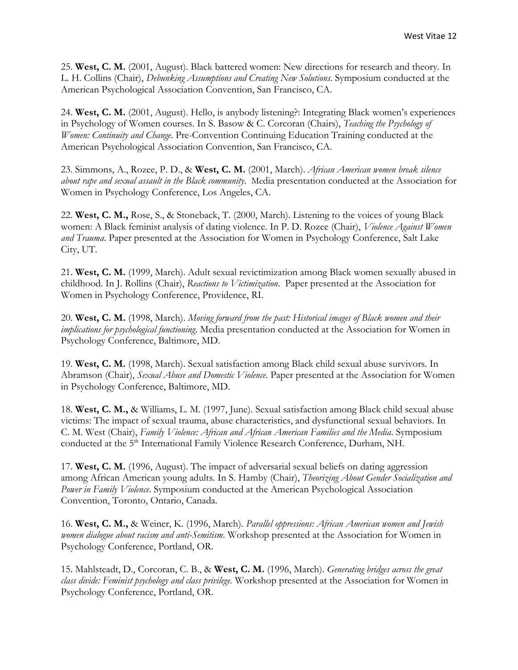25. **West, C. M.** (2001, August). Black battered women: New directions for research and theory. In L. H. Collins (Chair), *Debunking Assumptions and Creating New Solutions*. Symposium conducted at the American Psychological Association Convention, San Francisco, CA.

24. **West, C. M.** (2001, August). Hello, is anybody listening?: Integrating Black women's experiences in Psychology of Women courses. In S. Basow & C. Corcoran (Chairs), *Teaching the Psychology of Women: Continuity and Change*. Pre-Convention Continuing Education Training conducted at the American Psychological Association Convention, San Francisco, CA.

23. Simmons, A., Rozee, P. D., & **West, C. M.** (2001, March). *African American women break silence about rape and sexual assault in the Black community*. Media presentation conducted at the Association for Women in Psychology Conference, Los Angeles, CA.

22. **West, C. M.,** Rose, S., & Stoneback, T. (2000, March). Listening to the voices of young Black women: A Black feminist analysis of dating violence. In P. D. Rozee (Chair), *Violence Against Women and Trauma*. Paper presented at the Association for Women in Psychology Conference, Salt Lake City, UT.

21. **West, C. M.** (1999, March). Adult sexual revictimization among Black women sexually abused in childhood. In J. Rollins (Chair), *Reactions to Victimization*. Paper presented at the Association for Women in Psychology Conference, Providence, RI.

20. **West, C. M.** (1998, March). *Moving forward from the past: Historical images of Black women and their implications for psychological functioning*. Media presentation conducted at the Association for Women in Psychology Conference, Baltimore, MD.

19. **West, C. M.** (1998, March). Sexual satisfaction among Black child sexual abuse survivors. In Abramson (Chair), *Sexual Abuse and Domestic Violence*. Paper presented at the Association for Women in Psychology Conference, Baltimore, MD.

18. **West, C. M.,** & Williams, L. M. (1997, June). Sexual satisfaction among Black child sexual abuse victims: The impact of sexual trauma, abuse characteristics, and dysfunctional sexual behaviors. In C. M. West (Chair), *Family Violence: African and African American Families and the Media*. Symposium conducted at the 5<sup>th</sup> International Family Violence Research Conference, Durham, NH.

17. **West, C. M.** (1996, August). The impact of adversarial sexual beliefs on dating aggression among African American young adults. In S. Hamby (Chair), *Theorizing About Gender Socialization and Power in Family Violence*. Symposium conducted at the American Psychological Association Convention, Toronto, Ontario, Canada.

16. **West, C. M.,** & Weiner, K. (1996, March). *Parallel oppressions: African American women and Jewish women dialogue about racism and anti-Semitism*. Workshop presented at the Association for Women in Psychology Conference, Portland, OR.

15. Mahlsteadt, D., Corcoran, C. B., & **West, C. M.** (1996, March). *Generating bridges across the great class divide: Feminist psychology and class privilege.* Workshop presented at the Association for Women in Psychology Conference, Portland, OR.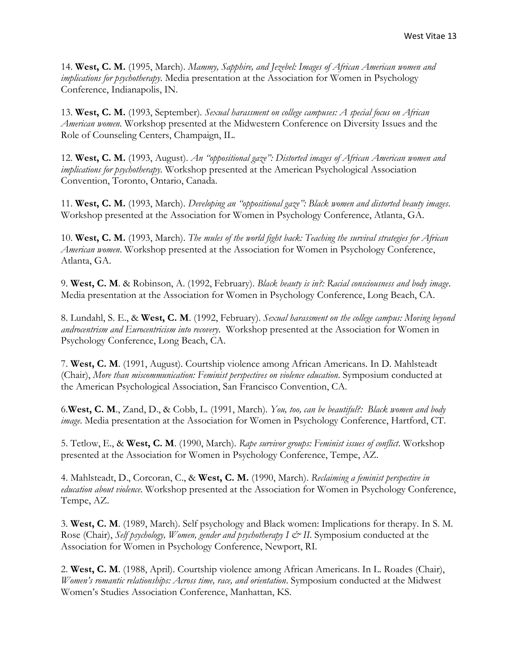14. **West, C. M.** (1995, March). *Mammy, Sapphire, and Jezebel: Images of African American women and implications for psychotherapy*. Media presentation at the Association for Women in Psychology Conference, Indianapolis, IN.

13. **West, C. M.** (1993, September). *Sexual harassment on college campuses: A special focus on African American women*. Workshop presented at the Midwestern Conference on Diversity Issues and the Role of Counseling Centers, Champaign, IL.

12. **West, C. M.** (1993, August). *An "oppositional gaze": Distorted images of African American women and implications for psychotherapy*. Workshop presented at the American Psychological Association Convention, Toronto, Ontario, Canada.

11. **West, C. M.** (1993, March). *Developing an "oppositional gaze": Black women and distorted beauty images*. Workshop presented at the Association for Women in Psychology Conference, Atlanta, GA.

10. **West, C. M.** (1993, March). *The mules of the world fight back: Teaching the survival strategies for African American women*. Workshop presented at the Association for Women in Psychology Conference, Atlanta, GA.

9. **West, C. M**. & Robinson, A. (1992, February). *Black beauty is in?: Racial consciousness and body image*. Media presentation at the Association for Women in Psychology Conference, Long Beach, CA.

8. Lundahl, S. E., & **West, C. M**. (1992, February). *Sexual harassment on the college campus: Moving beyond androcentrism and Eurocentricism into recovery*. Workshop presented at the Association for Women in Psychology Conference, Long Beach, CA.

7. **West, C. M**. (1991, August). Courtship violence among African Americans. In D. Mahlsteadt (Chair), *More than miscommunication: Feminist perspectives on violence education*. Symposium conducted at the American Psychological Association, San Francisco Convention, CA.

6.**West, C. M**., Zand, D., & Cobb, L. (1991, March). *You, too, can be beautiful?: Black women and body image*. Media presentation at the Association for Women in Psychology Conference, Hartford, CT.

5. Tetlow, E., & **West, C. M**. (1990, March). *Rape survivor groups: Feminist issues of conflict*. Workshop presented at the Association for Women in Psychology Conference, Tempe, AZ.

4. Mahlsteadt, D., Corcoran, C., & **West, C. M.** (1990, March). *Reclaiming a feminist perspective in education about violence*. Workshop presented at the Association for Women in Psychology Conference, Tempe, AZ.

3. **West, C. M**. (1989, March). Self psychology and Black women: Implications for therapy. In S. M. Rose (Chair), *Self psychology, Women, gender and psychotherapy I & II*. Symposium conducted at the Association for Women in Psychology Conference, Newport, RI.

2. **West, C. M**. (1988, April). Courtship violence among African Americans. In L. Roades (Chair), *Women's romantic relationships: Across time, race, and orientation*. Symposium conducted at the Midwest Women's Studies Association Conference, Manhattan, KS.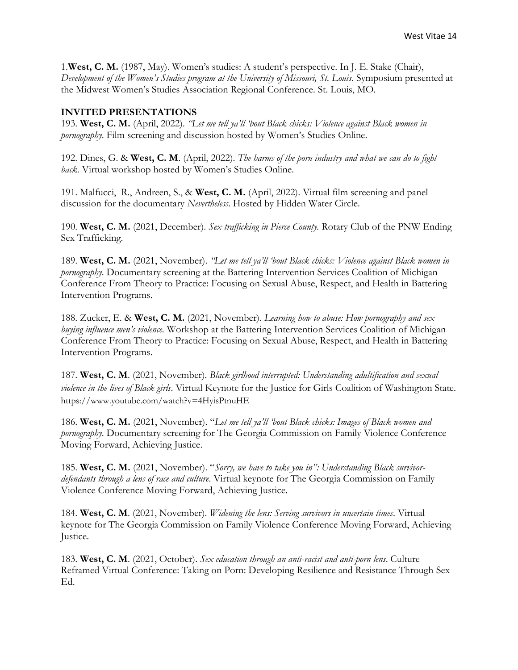1.**West, C. M.** (1987, May). Women's studies: A student's perspective. In J. E. Stake (Chair), *Development of the Women's Studies program at the University of Missouri, St. Louis*. Symposium presented at the Midwest Women's Studies Association Regional Conference. St. Louis, MO.

#### **INVITED PRESENTATIONS**

193. **West, C. M.** (April, 2022). *"Let me tell ya'll 'bout Black chicks: Violence against Black women in pornography*. Film screening and discussion hosted by Women's Studies Online.

192. Dines, G. & **West, C. M**. (April, 2022). *The harms of the porn industry and what we can do to fight back.* Virtual workshop hosted by Women's Studies Online.

191. Malfucci, R., Andreen, S., & **West, C. M.** (April, 2022). Virtual film screening and panel discussion for the documentary *Nevertheless*. Hosted by Hidden Water Circle.

190. **West, C. M.** (2021, December). *Sex trafficking in Pierce County.* Rotary Club of the PNW Ending Sex Trafficking.

189. **West, C. M.** (2021, November). *"Let me tell ya'll 'bout Black chicks: Violence against Black women in pornography*. Documentary screening at the Battering Intervention Services Coalition of Michigan Conference From Theory to Practice: Focusing on Sexual Abuse, Respect, and Health in Battering Intervention Programs.

188. Zucker, E. & **West, C. M.** (2021, November). *Learning how to abuse: How pornography and sex buying influence men's violence.* Workshop at the Battering Intervention Services Coalition of Michigan Conference From Theory to Practice: Focusing on Sexual Abuse, Respect, and Health in Battering Intervention Programs.

187. **West, C. M**. (2021, November). *Black girlhood interrupted: Understanding adultification and sexual violence in the lives of Black girls*. Virtual Keynote for the Justice for Girls Coalition of Washington State. https://www.youtube.com/watch?v=4HyisPtnuHE

186. **West, C. M.** (2021, November). "*Let me tell ya'll 'bout Black chicks: Images of Black women and pornography*. Documentary screening for The Georgia Commission on Family Violence Conference Moving Forward, Achieving Justice.

185. **West, C. M.** (2021, November). "*Sorry, we have to take you in": Understanding Black survivordefendants through a lens of race and culture*. Virtual keynote for The Georgia Commission on Family Violence Conference Moving Forward, Achieving Justice.

184. **West, C. M**. (2021, November). *Widening the lens: Serving survivors in uncertain times*. Virtual keynote for The Georgia Commission on Family Violence Conference Moving Forward, Achieving Justice.

183. **West, C. M**. (2021, October). *Sex education through an anti-racist and anti-porn lens*. Culture Reframed Virtual Conference: Taking on Porn: Developing Resilience and Resistance Through Sex Ed.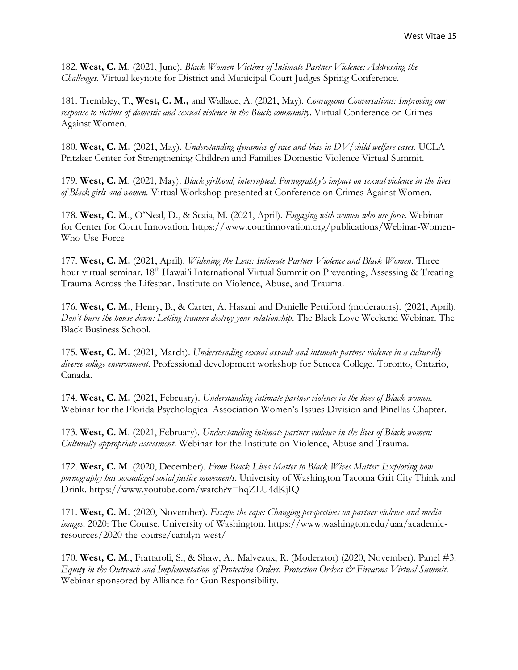182. **West, C. M**. (2021, June). *Black Women Victims of Intimate Partner Violence: Addressing the Challenges.* Virtual keynote for District and Municipal Court Judges Spring Conference.

181. Trembley, T., **West, C. M.,** and Wallace, A. (2021, May). *Courageous Conversations: Improving our response to victims of domestic and sexual violence in the Black community*. Virtual Conference on Crimes Against Women.

180. **West, C. M.** (2021, May). *Understanding dynamics of race and bias in DV/child welfare cases.* UCLA Pritzker Center for Strengthening Children and Families Domestic Violence Virtual Summit.

179. **West, C. M**. (2021, May). *Black girlhood, interrupted: Pornography's impact on sexual violence in the lives of Black girls and women.* Virtual Workshop presented at Conference on Crimes Against Women.

178. **West, C. M**., O'Neal, D., & Scaia, M. (2021, April). *Engaging with women who use force*. Webinar for Center for Court Innovation. https://www.courtinnovation.org/publications/Webinar-Women-Who-Use-Force

177. **West, C. M.** (2021, April). *Widening the Lens: Intimate Partner Violence and Black Women*. Three hour virtual seminar. 18<sup>th</sup> Hawai'i International Virtual Summit on Preventing, Assessing & Treating Trauma Across the Lifespan. Institute on Violence, Abuse, and Trauma.

176. **West, C. M.**, Henry, B., & Carter, A. Hasani and Danielle Pettiford (moderators). (2021, April). *Don't burn the house down: Letting trauma destroy your relationship*. The Black Love Weekend Webinar. The Black Business School.

175. **West, C. M.** (2021, March). *Understanding sexual assault and intimate partner violence in a culturally diverse college environment*. Professional development workshop for Seneca College. Toronto, Ontario, Canada.

174. **West, C. M.** (2021, February). *Understanding intimate partner violence in the lives of Black women.*  Webinar for the Florida Psychological Association Women's Issues Division and Pinellas Chapter.

173. **West, C. M**. (2021, February). *Understanding intimate partner violence in the lives of Black women: Culturally appropriate assessment*. Webinar for the Institute on Violence, Abuse and Trauma.

172. **West, C. M**. (2020, December). *From Black Lives Matter to Black Wives Matter: Exploring how pornography has sexualized social justice movements*. University of Washington Tacoma Grit City Think and Drink. https://www.youtube.com/watch?v=hqZLU4dKjIQ

171. **West, C. M.** (2020, November). *Escape the cape: Changing perspectives on partner violence and media images*. 2020: The Course. University of Washington. https://www.washington.edu/uaa/academicresources/2020-the-course/carolyn-west/

170. **West, C. M**., Frattaroli, S., & Shaw, A., Malveaux, R. (Moderator) (2020, November). Panel #3: *Equity in the Outreach and Implementation of Protection Orders. Protection Orders & Firearms Virtual Summit*. Webinar sponsored by Alliance for Gun Responsibility.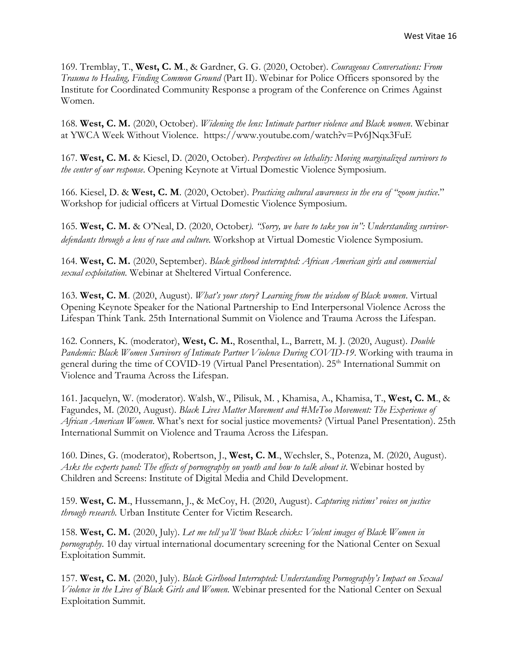169. Tremblay, T., **West, C. M**., & Gardner, G. G. (2020, October). *Courageous Conversations: From Trauma to Healing, Finding Common Ground* (Part II). Webinar for Police Officers sponsored by the Institute for Coordinated Community Response a program of the Conference on Crimes Against Women.

168. **West, C. M.** (2020, October). *Widening the lens: Intimate partner violence and Black women*. Webinar at YWCA Week Without Violence. https://www.youtube.com/watch?v=Pv6JNqx3FuE

167. **West, C. M.** & Kiesel, D. (2020, October). *Perspectives on lethality: Moving marginalized survivors to the center of our response*. Opening Keynote at Virtual Domestic Violence Symposium.

166. Kiesel, D. & **West, C. M**. (2020, October). *Practicing cultural awareness in the era of "zoom justice*." Workshop for judicial officers at Virtual Domestic Violence Symposium.

165. **West, C. M.** & O'Neal, D. (2020, October*). "Sorry, we have to take you in": Understanding survivordefendants through a lens of race and culture.* Workshop at Virtual Domestic Violence Symposium.

164. **West, C. M.** (2020, September). *Black girlhood interrupted: African American girls and commercial sexual exploitation.* Webinar at Sheltered Virtual Conference.

163. **West, C. M**. (2020, August). *What's your story? Learning from the wisdom of Black women*. Virtual Opening Keynote Speaker for the National Partnership to End Interpersonal Violence Across the Lifespan Think Tank. 25th International Summit on Violence and Trauma Across the Lifespan.

162. Conners, K. (moderator), **West, C. M.**, Rosenthal, L., Barrett, M. J. (2020, August). *Double Pandemic: Black Women Survivors of Intimate Partner Violence During COVID-19*. Working with trauma in general during the time of COVID-19 (Virtual Panel Presentation). 25<sup>th</sup> International Summit on Violence and Trauma Across the Lifespan.

161. Jacquelyn, W. (moderator). Walsh, W., Pilisuk, M. , Khamisa, A., Khamisa, T., **West, C. M**., & Fagundes, M. (2020, August). *Black Lives Matter Movement and #MeToo Movement: The Experience of African American Women*. What's next for social justice movements? (Virtual Panel Presentation). 25th International Summit on Violence and Trauma Across the Lifespan.

160. Dines, G. (moderator), Robertson, J., **West, C. M**., Wechsler, S., Potenza, M. (2020, August). *Asks the experts panel: The effects of pornography on youth and how to talk about it*. Webinar hosted by Children and Screens: Institute of Digital Media and Child Development.

159. **West, C. M**., Hussemann, J., & McCoy, H. (2020, August). *Capturing victims' voices on justice through research.* Urban Institute Center for Victim Research.

158. **West, C. M.** (2020, July). *Let me tell ya'll 'bout Black chicks: Violent images of Black Women in pornography*. 10 day virtual international documentary screening for the National Center on Sexual Exploitation Summit.

157. **West, C. M.** (2020, July). *Black Girlhood Interrupted: Understanding Pornography's Impact on Sexual Violence in the Lives of Black Girls and Women.* Webinar presented for the National Center on Sexual Exploitation Summit.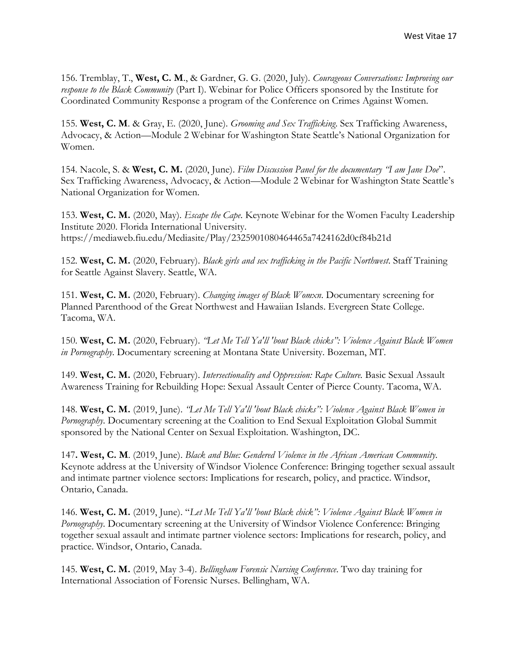156. Tremblay, T., **West, C. M**., & Gardner, G. G. (2020, July). *Courageous Conversations: Improving our response to the Black Community* (Part I). Webinar for Police Officers sponsored by the Institute for Coordinated Community Response a program of the Conference on Crimes Against Women.

155. **West, C. M**. & Gray, E. (2020, June). *Grooming and Sex Trafficking*. Sex Trafficking Awareness, Advocacy, & Action—Module 2 Webinar for Washington State Seattle's National Organization for Women.

154. Nacole, S. & **West, C. M.** (2020, June). *Film Discussion Panel for the documentary "I am Jane Doe*". Sex Trafficking Awareness, Advocacy, & Action—Module 2 Webinar for Washington State Seattle's National Organization for Women.

153. **West, C. M.** (2020, May). *Escape the Cape*. Keynote Webinar for the Women Faculty Leadership Institute 2020. Florida International University. https://mediaweb.fiu.edu/Mediasite/Play/2325901080464465a7424162d0cf84b21d

152. **West, C. M.** (2020, February). *Black girls and sex trafficking in the Pacific Northwest*. Staff Training for Seattle Against Slavery. Seattle, WA.

151. **West, C. M.** (2020, February). *Changing images of Black Womxn*. Documentary screening for Planned Parenthood of the Great Northwest and Hawaiian Islands. Evergreen State College. Tacoma, WA.

150. **West, C. M.** (2020, February). *"Let Me Tell Ya'll 'bout Black chicks": Violence Against Black Women in Pornography*. Documentary screening at Montana State University. Bozeman, MT.

149. **West, C. M.** (2020, February). *Intersectionality and Oppression: Rape Culture.* Basic Sexual Assault Awareness Training for Rebuilding Hope: Sexual Assault Center of Pierce County. Tacoma, WA.

148. **West, C. M.** (2019, June). *"Let Me Tell Ya'll 'bout Black chicks": Violence Against Black Women in Pornography*. Documentary screening at the Coalition to End Sexual Exploitation Global Summit sponsored by the National Center on Sexual Exploitation. Washington, DC.

147**. West, C. M**. (2019, June). *Black and Blue: Gendered Violence in the African American Community*. Keynote address at the University of Windsor Violence Conference: Bringing together sexual assault and intimate partner violence sectors: Implications for research, policy, and practice. Windsor, Ontario, Canada.

146. **West, C. M.** (2019, June). "*Let Me Tell Ya'll 'bout Black chick": Violence Against Black Women in Pornography*. Documentary screening at the University of Windsor Violence Conference: Bringing together sexual assault and intimate partner violence sectors: Implications for research, policy, and practice. Windsor, Ontario, Canada.

145. **West, C. M.** (2019, May 3-4). *Bellingham Forensic Nursing Conference*. Two day training for International Association of Forensic Nurses. Bellingham, WA.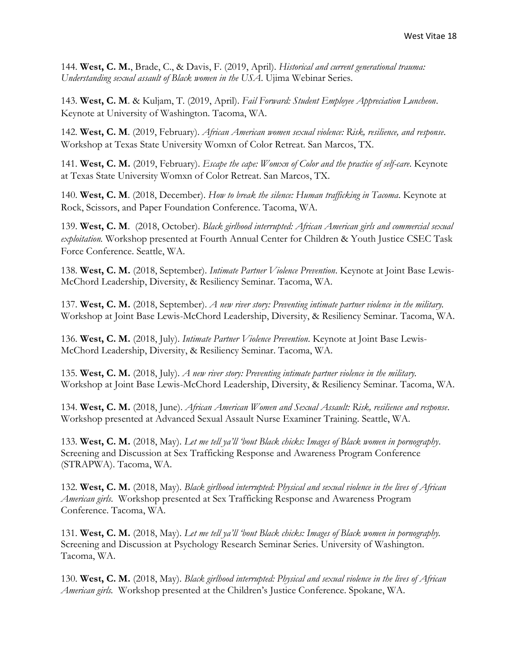144. **West, C. M.**, Brade, C., & Davis, F. (2019, April). *Historical and current generational trauma: Understanding sexual assault of Black women in the USA*. Ujima Webinar Series.

143. **West, C. M**. & Kuljam, T. (2019, April). *Fail Forward: Student Employee Appreciation Luncheon*. Keynote at University of Washington. Tacoma, WA.

142. **West, C. M**. (2019, February). *African American women sexual violence: Risk, resilience, and response*. Workshop at Texas State University Womxn of Color Retreat. San Marcos, TX.

141. **West, C. M.** (2019, February). *Escape the cape: Womxn of Color and the practice of self-care*. Keynote at Texas State University Womxn of Color Retreat. San Marcos, TX.

140. **West, C. M**. (2018, December). *How to break the silence: Human trafficking in Tacoma*. Keynote at Rock, Scissors, and Paper Foundation Conference. Tacoma, WA.

139. **West, C. M**. (2018, October). *Black girlhood interrupted: African American girls and commercial sexual exploitation.* Workshop presented at Fourth Annual Center for Children & Youth Justice CSEC Task Force Conference. Seattle, WA.

138. **West, C. M.** (2018, September). *Intimate Partner Violence Prevention*. Keynote at Joint Base Lewis-McChord Leadership, Diversity, & Resiliency Seminar. Tacoma, WA.

137. **West, C. M.** (2018, September). *A new river story: Preventing intimate partner violence in the military.* Workshop at Joint Base Lewis-McChord Leadership, Diversity, & Resiliency Seminar. Tacoma, WA.

136. **West, C. M.** (2018, July). *Intimate Partner Violence Prevention*. Keynote at Joint Base Lewis-McChord Leadership, Diversity, & Resiliency Seminar. Tacoma, WA.

135. **West, C. M.** (2018, July). *A new river story: Preventing intimate partner violence in the military.* Workshop at Joint Base Lewis-McChord Leadership, Diversity, & Resiliency Seminar. Tacoma, WA.

134. **West, C. M.** (2018, June). *African American Women and Sexual Assault: Risk, resilience and response*. Workshop presented at Advanced Sexual Assault Nurse Examiner Training. Seattle, WA.

133. **West, C. M.** (2018, May). *Let me tell ya'll 'bout Black chicks: Images of Black women in pornography*. Screening and Discussion at Sex Trafficking Response and Awareness Program Conference (STRAPWA). Tacoma, WA.

132. **West, C. M.** (2018, May). *Black girlhood interrupted: Physical and sexual violence in the lives of African American girls*. Workshop presented at Sex Trafficking Response and Awareness Program Conference. Tacoma, WA.

131. **West, C. M.** (2018, May). *Let me tell ya'll 'bout Black chicks: Images of Black women in pornography.*  Screening and Discussion at Psychology Research Seminar Series. University of Washington. Tacoma, WA.

130. **West, C. M.** (2018, May). *Black girlhood interrupted: Physical and sexual violence in the lives of African American girls.* Workshop presented at the Children's Justice Conference. Spokane, WA.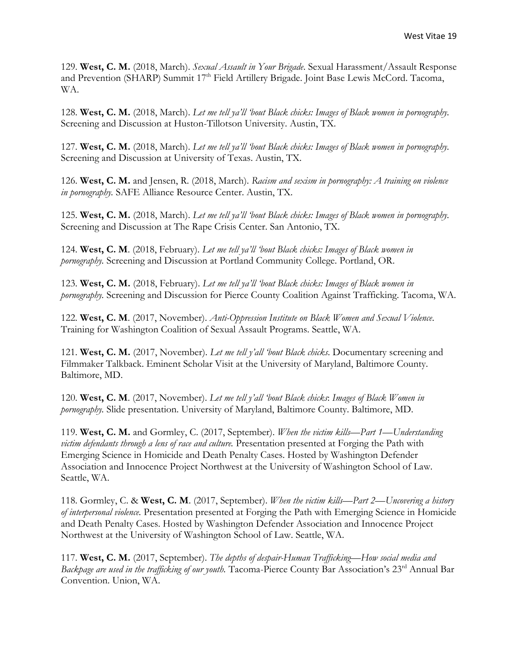129. **West, C. M.** (2018, March). *Sexual Assault in Your Brigade*. Sexual Harassment/Assault Response and Prevention (SHARP) Summit 17<sup>th</sup> Field Artillery Brigade. Joint Base Lewis McCord. Tacoma, WA.

128. **West, C. M.** (2018, March). *Let me tell ya'll 'bout Black chicks: Images of Black women in pornography.*  Screening and Discussion at Huston-Tillotson University. Austin, TX.

127. **West, C. M.** (2018, March). *Let me tell ya'll 'bout Black chicks: Images of Black women in pornography.*  Screening and Discussion at University of Texas. Austin, TX.

126. **West, C. M.** and Jensen, R. (2018, March). *Racism and sexism in pornography: A training on violence in pornography.* SAFE Alliance Resource Center. Austin, TX.

125. **West, C. M.** (2018, March). *Let me tell ya'll 'bout Black chicks: Images of Black women in pornography.*  Screening and Discussion at The Rape Crisis Center. San Antonio, TX.

124. **West, C. M**. (2018, February). *Let me tell ya'll 'bout Black chicks: Images of Black women in pornography.* Screening and Discussion at Portland Community College. Portland, OR.

123. **West, C. M.** (2018, February). *Let me tell ya'll 'bout Black chicks: Images of Black women in pornography.* Screening and Discussion for Pierce County Coalition Against Trafficking. Tacoma, WA.

122. **West, C. M**. (2017, November). *Anti-Oppression Institute on Black Women and Sexual Violence*. Training for Washington Coalition of Sexual Assault Programs. Seattle, WA.

121. **West, C. M.** (2017, November). *Let me tell y'all 'bout Black chicks*. Documentary screening and Filmmaker Talkback. Eminent Scholar Visit at the University of Maryland, Baltimore County. Baltimore, MD.

120. **West, C. M**. (2017, November). *Let me tell y'all 'bout Black chicks*: *Images of Black Women in pornography.* Slide presentation. University of Maryland, Baltimore County. Baltimore, MD.

119. **West, C. M.** and Gormley, C. (2017, September). *When the victim kills—Part 1—Understanding victim defendants through a lens of race and culture.* Presentation presented at Forging the Path with Emerging Science in Homicide and Death Penalty Cases. Hosted by Washington Defender Association and Innocence Project Northwest at the University of Washington School of Law. Seattle, WA.

118. Gormley, C. & **West, C. M**. (2017, September). *When the victim kills—Part 2—Uncovering a history of interpersonal violence.* Presentation presented at Forging the Path with Emerging Science in Homicide and Death Penalty Cases. Hosted by Washington Defender Association and Innocence Project Northwest at the University of Washington School of Law. Seattle, WA.

117. **West, C. M.** (2017, September). *The depths of despair-Human Trafficking—How social media and Backpage are used in the trafficking of our youth.* Tacoma-Pierce County Bar Association's 23<sup>rd</sup> Annual Bar Convention. Union, WA.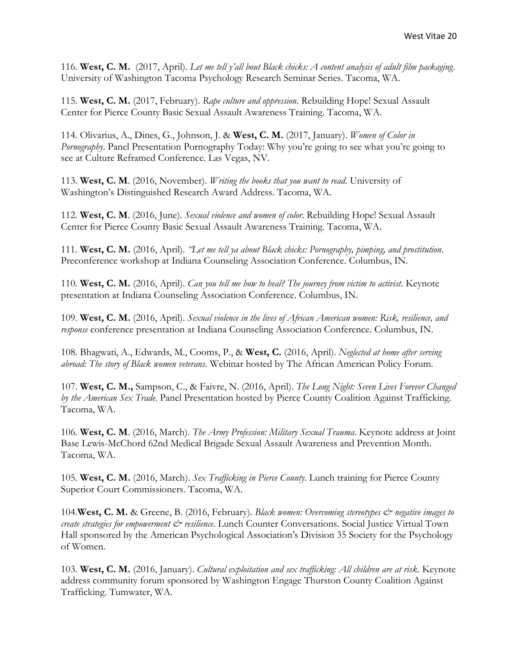116. **West, C. M.** (2017, April). *Let me tell y'all bout Black chicks: A content analysis of adult film packaging*. University of Washington Tacoma Psychology Research Seminar Series. Tacoma, WA.

115. **West, C. M.** (2017, February). *Rape culture and oppression*. Rebuilding Hope! Sexual Assault Center for Pierce County Basic Sexual Assault Awareness Training. Tacoma, WA.

114. Olivarius, A., Dines, G., Johnson, J. & **West, C. M.** (2017, January). *Women of Color in Pornography*. Panel Presentation Pornography Today: Why you're going to see what you're going to see at Culture Reframed Conference. Las Vegas, NV.

113. **West, C. M**. (2016, November). *Writing the books that you want to read*. University of Washington's Distinguished Research Award Address. Tacoma, WA.

112. **West, C. M**. (2016, June). *Sexual violence and women of color*. Rebuilding Hope! Sexual Assault Center for Pierce County Basic Sexual Assault Awareness Training. Tacoma, WA.

111. **West, C. M.** (2016, April). *"Let me tell ya about Black chicks: Pornography, pimping, and prostitution*. Preconference workshop at Indiana Counseling Association Conference. Columbus, IN.

110. **West, C. M.** (2016, April). *Can you tell me how to heal? The journey from victim to activist.* Keynote presentation at Indiana Counseling Association Conference. Columbus, IN.

109. **West, C. M.** (2016, April). *Sexual violence in the lives of African American women: Risk, resilience, and response* conference presentation at Indiana Counseling Association Conference. Columbus, IN.

108. Bhagwati, A., Edwards, M., Cooms, P., & **West, C.** (2016, April). *Neglected at home after serving abroad: The story of Black women veterans*. Webinar hosted by The African American Policy Forum.

107. **West, C. M.,** Sampson, C., & Faivre, N. (2016, April). *The Long Night: Seven Lives Forever Changed by the American Sex Trade.* Panel Presentation hosted by Pierce County Coalition Against Trafficking. Tacoma, WA.

106. **West, C. M**. (2016, March). *The Army Profession: Military Sexual Trauma*. Keynote address at Joint Base Lewis-McChord 62nd Medical Brigade Sexual Assault Awareness and Prevention Month. Tacoma, WA.

105. **West, C. M.** (2016, March). *Sex Trafficking in Pierce County*. Lunch training for Pierce County Superior Court Commissioners. Tacoma, WA.

104.**West, C. M.** & Greene, B. (2016, February). *Black women: Overcoming stereotypes & negative images to create strategies for empowerment & resilience*. Lunch Counter Conversations. Social Justice Virtual Town Hall sponsored by the American Psychological Association's Division 35 Society for the Psychology of Women.

103. **West, C. M.** (2016, January). *Cultural exploitation and sex trafficking: All children are at risk*. Keynote address community forum sponsored by Washington Engage Thurston County Coalition Against Trafficking. Tumwater, WA.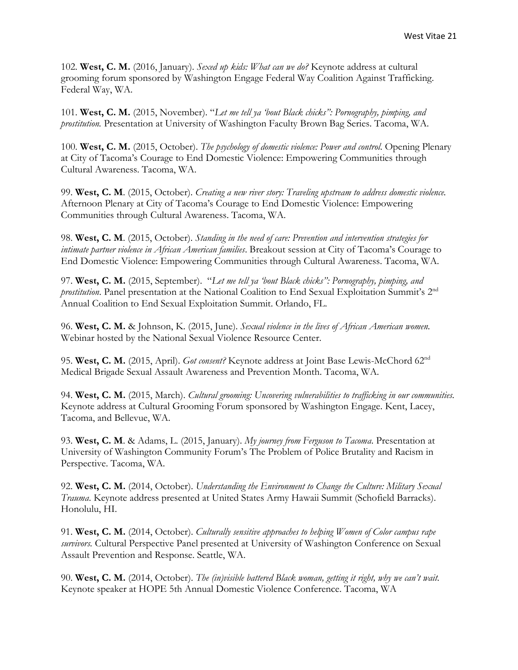102. **West, C. M.** (2016, January). *Sexed up kids: What can we do?* Keynote address at cultural grooming forum sponsored by Washington Engage Federal Way Coalition Against Trafficking. Federal Way, WA.

101. **West, C. M.** (2015, November). "*Let me tell ya 'bout Black chicks": Pornography, pimping, and prostitution.* Presentation at University of Washington Faculty Brown Bag Series. Tacoma, WA.

100. **West, C. M.** (2015, October). *The psychology of domestic violence: Power and control*. Opening Plenary at City of Tacoma's Courage to End Domestic Violence: Empowering Communities through Cultural Awareness. Tacoma, WA.

99. **West, C. M**. (2015, October). *Creating a new river story: Traveling upstream to address domestic violence.*  Afternoon Plenary at City of Tacoma's Courage to End Domestic Violence: Empowering Communities through Cultural Awareness. Tacoma, WA.

98. **West, C. M**. (2015, October). *Standing in the need of care: Prevention and intervention strategies for intimate partner violence in African American families*. Breakout session at City of Tacoma's Courage to End Domestic Violence: Empowering Communities through Cultural Awareness. Tacoma, WA.

97. **West, C. M.** (2015, September). "*Let me tell ya 'bout Black chicks": Pornography, pimping, and*  prostitution. Panel presentation at the National Coalition to End Sexual Exploitation Summit's 2<sup>nd</sup> Annual Coalition to End Sexual Exploitation Summit. Orlando, FL.

96. **West, C. M.** & Johnson, K. (2015, June). *Sexual violence in the lives of African American women.* Webinar hosted by the National Sexual Violence Resource Center.

95. **West, C. M.** (2015, April). *Got consent?* Keynote address at Joint Base Lewis-McChord 62nd Medical Brigade Sexual Assault Awareness and Prevention Month. Tacoma, WA.

94. **West, C. M.** (2015, March). *Cultural grooming: Uncovering vulnerabilities to trafficking in our communities.*  Keynote address at Cultural Grooming Forum sponsored by Washington Engage. Kent, Lacey, Tacoma, and Bellevue, WA.

93. **West, C. M**. & Adams, L. (2015, January). *My journey from Ferguson to Tacoma*. Presentation at University of Washington Community Forum's The Problem of Police Brutality and Racism in Perspective. Tacoma, WA.

92. **West, C. M.** (2014, October). *Understanding the Environment to Change the Culture: Military Sexual Trauma*. Keynote address presented at United States Army Hawaii Summit (Schofield Barracks). Honolulu, HI.

91. **West, C. M.** (2014, October). *Culturally sensitive approaches to helping Women of Color campus rape survivors.* Cultural Perspective Panel presented at University of Washington Conference on Sexual Assault Prevention and Response. Seattle, WA.

90. **West, C. M.** (2014, October). *The (in)visible battered Black woman, getting it right, why we can't wait.*  Keynote speaker at HOPE 5th Annual Domestic Violence Conference. Tacoma, WA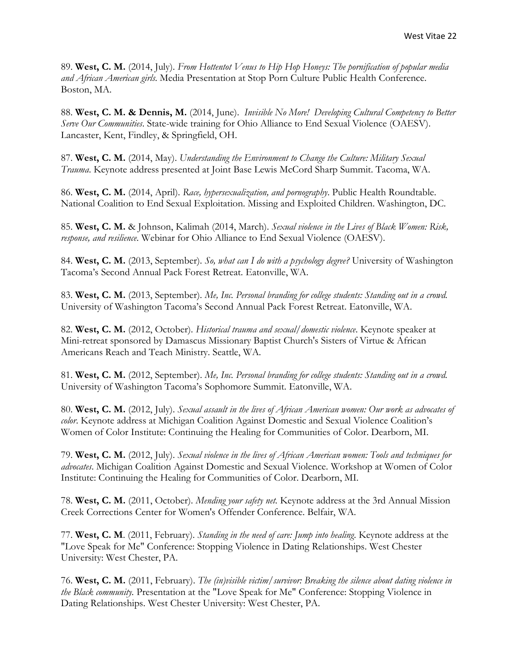89. **West, C. M.** (2014, July). *From Hottentot Venus to Hip Hop Honeys: The pornification of popular media and African American girls.* Media Presentation at Stop Porn Culture Public Health Conference. Boston, MA.

88. **West, C. M. & Dennis, M.** (2014, June). *Invisible No More! Developing Cultural Competency to Better Serve Our Communities*. State-wide training for Ohio Alliance to End Sexual Violence (OAESV). Lancaster, Kent, Findley, & Springfield, OH.

87. **West, C. M.** (2014, May). *Understanding the Environment to Change the Culture: Military Sexual Trauma*. Keynote address presented at Joint Base Lewis McCord Sharp Summit. Tacoma, WA.

86. **West, C. M.** (2014, April). *Race, hypersexualization, and pornography*. Public Health Roundtable. National Coalition to End Sexual Exploitation. Missing and Exploited Children. Washington, DC.

85. **West, C. M.** & Johnson, Kalimah (2014, March). *Sexual violence in the Lives of Black Women: Risk, response, and resilience*. Webinar for Ohio Alliance to End Sexual Violence (OAESV).

84. **West, C. M.** (2013, September). *So, what can I do with a psychology degree?* University of Washington Tacoma's Second Annual Pack Forest Retreat. Eatonville, WA.

83. **West, C. M.** (2013, September). *Me, Inc. Personal branding for college students: Standing out in a crowd.*  University of Washington Tacoma's Second Annual Pack Forest Retreat. Eatonville, WA.

82. **West, C. M.** (2012, October). *Historical trauma and sexual/domestic violence*. Keynote speaker at Mini-retreat sponsored by Damascus Missionary Baptist Church's Sisters of Virtue & African Americans Reach and Teach Ministry. Seattle, WA.

81. **West, C. M.** (2012, September). *Me, Inc. Personal branding for college students: Standing out in a crowd.*  University of Washington Tacoma's Sophomore Summit. Eatonville, WA.

80. **West, C. M.** (2012, July). *Sexual assault in the lives of African American women: Our work as advocates of color*. Keynote address at Michigan Coalition Against Domestic and Sexual Violence Coalition's Women of Color Institute: Continuing the Healing for Communities of Color. Dearborn, MI.

79. **West, C. M.** (2012, July). *Sexual violence in the lives of African American women: Tools and techniques for advocates*. Michigan Coalition Against Domestic and Sexual Violence. Workshop at Women of Color Institute: Continuing the Healing for Communities of Color. Dearborn, MI.

78. **West, C. M.** (2011, October). *Mending your safety net.* Keynote address at the 3rd Annual Mission Creek Corrections Center for Women's Offender Conference. Belfair, WA.

77. **West, C. M**. (2011, February). *Standing in the need of care: Jump into healing*. Keynote address at the "Love Speak for Me" Conference: Stopping Violence in Dating Relationships. West Chester University: West Chester, PA.

76. **West, C. M.** (2011, February). *The (in)visible victim/survivor: Breaking the silence about dating violence in the Black community.* Presentation at the "Love Speak for Me" Conference: Stopping Violence in Dating Relationships. West Chester University: West Chester, PA.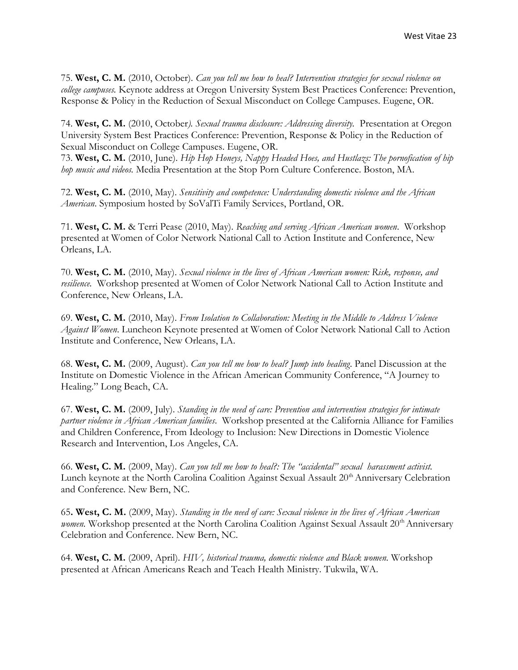75. **West, C. M.** (2010, October). *Can you tell me how to heal? Intervention strategies for sexual violence on college campuses.* Keynote address at Oregon University System Best Practices Conference: Prevention, Response & Policy in the Reduction of Sexual Misconduct on College Campuses. Eugene, OR.

74. **West, C. M.** (2010, October*). Sexual trauma disclosure: Addressing diversity.* Presentation at Oregon University System Best Practices Conference: Prevention, Response & Policy in the Reduction of Sexual Misconduct on College Campuses. Eugene, OR.

73. **West, C. M.** (2010, June). *Hip Hop Honeys, Nappy Headed Hoes, and Hustlazs: The pornofication of hip hop music and videos.* Media Presentation at the Stop Porn Culture Conference. Boston, MA.

72. **West, C. M.** (2010, May). *Sensitivity and competence: Understanding domestic violence and the African American*. Symposium hosted by SoValTi Family Services, Portland, OR.

71. **West, C. M.** & Terri Pease (2010, May). *Reaching and serving African American women*. Workshop presented at Women of Color Network National Call to Action Institute and Conference, New Orleans, LA.

70. **West, C. M.** (2010, May). *Sexual violence in the lives of African American women: Risk, response, and resilience.* Workshop presented at Women of Color Network National Call to Action Institute and Conference, New Orleans, LA.

69. **West, C. M.** (2010, May). *From Isolation to Collaboration: Meeting in the Middle to Address Violence Against Women*. Luncheon Keynote presented at Women of Color Network National Call to Action Institute and Conference, New Orleans, LA.

68. **West, C. M.** (2009, August). *Can you tell me how to heal? Jump into healing*. Panel Discussion at the Institute on Domestic Violence in the African American Community Conference, "A Journey to Healing." Long Beach, CA.

67. **West, C. M.** (2009, July). *Standing in the need of care: Prevention and intervention strategies for intimate partner violence in African American families*. Workshop presented at the California Alliance for Families and Children Conference, From Ideology to Inclusion: New Directions in Domestic Violence Research and Intervention, Los Angeles, CA.

66. **West, C. M.** (2009, May). *Can you tell me how to heal?: The "accidental" sexual harassment activist.*  Lunch keynote at the North Carolina Coalition Against Sexual Assault 20<sup>th</sup> Anniversary Celebration and Conference. New Bern, NC.

65**. West, C. M.** (2009, May). *Standing in the need of care: Sexual violence in the lives of African American*  women. Workshop presented at the North Carolina Coalition Against Sexual Assault 20<sup>th</sup> Anniversary Celebration and Conference. New Bern, NC.

64. **West, C. M.** (2009, April). *HIV, historical trauma, domestic violence and Black women.* Workshop presented at African Americans Reach and Teach Health Ministry. Tukwila, WA.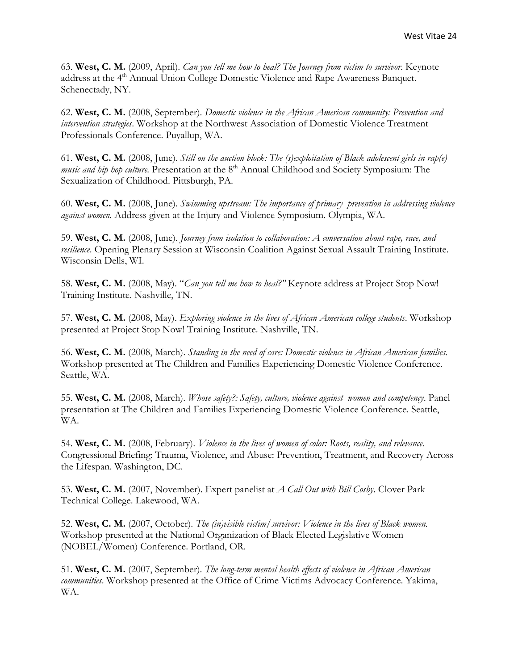63. **West, C. M.** (2009, April). *Can you tell me how to heal? The Journey from victim to survivor*. Keynote address at the 4<sup>th</sup> Annual Union College Domestic Violence and Rape Awareness Banquet. Schenectady, NY.

62. **West, C. M.** (2008, September). *Domestic violence in the African American community: Prevention and intervention strategies*. Workshop at the Northwest Association of Domestic Violence Treatment Professionals Conference. Puyallup, WA.

61. **West, C. M.** (2008, June). *Still on the auction block: The (s)exploitation of Black adolescent girls in rap(e) music and hip hop culture.* Presentation at the 8<sup>th</sup> Annual Childhood and Society Symposium: The Sexualization of Childhood. Pittsburgh, PA.

60. **West, C. M.** (2008, June). *Swimming upstream: The importance of primary prevention in addressing violence against women.* Address given at the Injury and Violence Symposium. Olympia, WA.

59. **West, C. M.** (2008, June). *Journey from isolation to collaboration: A conversation about rape, race, and resilience*. Opening Plenary Session at Wisconsin Coalition Against Sexual Assault Training Institute. Wisconsin Dells, WI.

58. **West, C. M.** (2008, May). "*Can you tell me how to heal?"* Keynote address at Project Stop Now! Training Institute. Nashville, TN.

57. **West, C. M.** (2008, May). *Exploring violence in the lives of African American college students*. Workshop presented at Project Stop Now! Training Institute. Nashville, TN.

56. **West, C. M.** (2008, March). *Standing in the need of care: Domestic violence in African American families.* Workshop presented at The Children and Families Experiencing Domestic Violence Conference. Seattle, WA.

55. **West, C. M.** (2008, March). *Whose safety?: Safety, culture, violence against women and competency*. Panel presentation at The Children and Families Experiencing Domestic Violence Conference. Seattle, WA.

54. **West, C. M.** (2008, February). *Violence in the lives of women of color: Roots, reality, and relevance.*  Congressional Briefing: Trauma, Violence, and Abuse: Prevention, Treatment, and Recovery Across the Lifespan. Washington, DC.

53. **West, C. M.** (2007, November). Expert panelist at *A Call Out with Bill Cosby*. Clover Park Technical College. Lakewood, WA.

52. **West, C. M.** (2007, October). *The (in)visible victim/survivor: Violence in the lives of Black women.* Workshop presented at the National Organization of Black Elected Legislative Women (NOBEL/Women) Conference. Portland, OR.

51. **West, C. M.** (2007, September). *The long-term mental health effects of violence in African American communities*. Workshop presented at the Office of Crime Victims Advocacy Conference. Yakima, WA.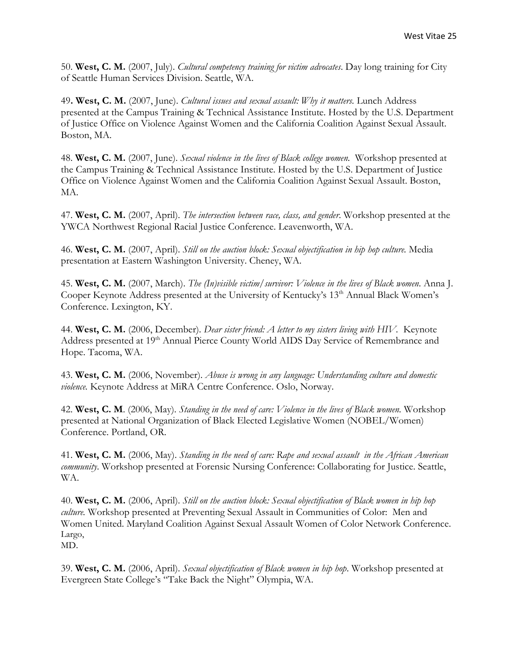50. **West, C. M.** (2007, July). *Cultural competency training for victim advocates*. Day long training for City of Seattle Human Services Division. Seattle, WA.

49**. West, C. M.** (2007, June). *Cultural issues and sexual assault: Why it matters.* Lunch Address presented at the Campus Training & Technical Assistance Institute. Hosted by the U.S. Department of Justice Office on Violence Against Women and the California Coalition Against Sexual Assault. Boston, MA.

48. **West, C. M.** (2007, June). *Sexual violence in the lives of Black college women.* Workshop presented at the Campus Training & Technical Assistance Institute. Hosted by the U.S. Department of Justice Office on Violence Against Women and the California Coalition Against Sexual Assault. Boston, MA.

47. **West, C. M.** (2007, April). *The intersection between race, class, and gender*. Workshop presented at the YWCA Northwest Regional Racial Justice Conference. Leavenworth, WA.

46. **West, C. M.** (2007, April). *Still on the auction block: Sexual objectification in hip hop culture.* Media presentation at Eastern Washington University. Cheney, WA.

45. **West, C. M.** (2007, March). *The (In)visible victim/survivor: Violence in the lives of Black women*. Anna J. Cooper Keynote Address presented at the University of Kentucky's 13<sup>th</sup> Annual Black Women's Conference. Lexington, KY.

44. **West, C. M.** (2006, December). *Dear sister friend: A letter to my sisters living with HIV.* Keynote Address presented at 19<sup>th</sup> Annual Pierce County World AIDS Day Service of Remembrance and Hope. Tacoma, WA.

43. **West, C. M.** (2006, November). *Abuse is wrong in any language: Understanding culture and domestic violence.* Keynote Address at MiRA Centre Conference. Oslo, Norway.

42. **West, C. M**. (2006, May). *Standing in the need of care: Violence in the lives of Black women.* Workshop presented at National Organization of Black Elected Legislative Women (NOBEL/Women) Conference. Portland, OR.

41. **West, C. M.** (2006, May). *Standing in the need of care: Rape and sexual assault in the African American community*. Workshop presented at Forensic Nursing Conference: Collaborating for Justice. Seattle, WA.

40. **West, C. M.** (2006, April). *Still on the auction block: Sexual objectification of Black women in hip hop culture.* Workshop presented at Preventing Sexual Assault in Communities of Color: Men and Women United. Maryland Coalition Against Sexual Assault Women of Color Network Conference. Largo, MD.

39. **West, C. M.** (2006, April). *Sexual objectification of Black women in hip hop*. Workshop presented at Evergreen State College's "Take Back the Night" Olympia, WA.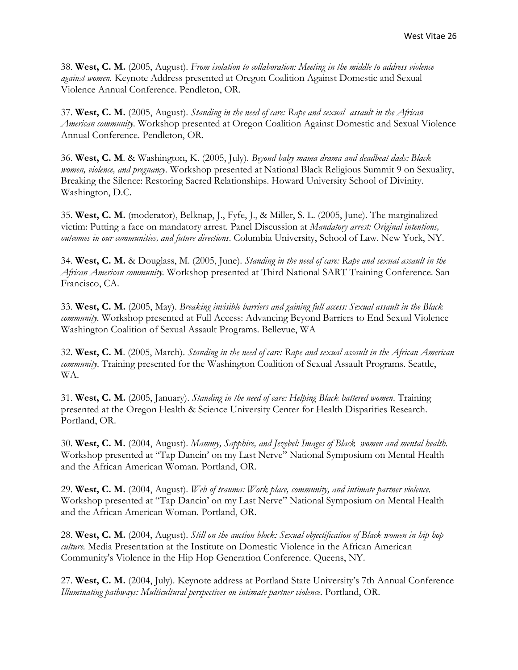38. **West, C. M.** (2005, August). *From isolation to collaboration: Meeting in the middle to address violence against women.* Keynote Address presented at Oregon Coalition Against Domestic and Sexual Violence Annual Conference. Pendleton, OR.

37. **West, C. M.** (2005, August). *Standing in the need of care: Rape and sexual assault in the African American community*. Workshop presented at Oregon Coalition Against Domestic and Sexual Violence Annual Conference. Pendleton, OR.

36. **West, C. M**. & Washington, K. (2005, July). *Beyond baby mama drama and deadbeat dads: Black women, violence, and pregnancy*. Workshop presented at National Black Religious Summit 9 on Sexuality, Breaking the Silence: Restoring Sacred Relationships. Howard University School of Divinity. Washington, D.C.

35. **West, C. M.** (moderator), Belknap, J., Fyfe, J., & Miller, S. L. (2005, June). The marginalized victim: Putting a face on mandatory arrest. Panel Discussion at *Mandatory arrest: Original intentions, outcomes in our communities, and future directions*. Columbia University, School of Law. New York, NY.

34. **West, C. M.** & Douglass, M. (2005, June). *Standing in the need of care: Rape and sexual assault in the African American community.* Workshop presented at Third National SART Training Conference. San Francisco, CA.

33. **West, C. M.** (2005, May). *Breaking invisible barriers and gaining full access: Sexual assault in the Black community.* Workshop presented at Full Access: Advancing Beyond Barriers to End Sexual Violence Washington Coalition of Sexual Assault Programs. Bellevue, WA

32. **West, C. M**. (2005, March). *Standing in the need of care: Rape and sexual assault in the African American community*. Training presented for the Washington Coalition of Sexual Assault Programs. Seattle, WA.

31. **West, C. M.** (2005, January). *Standing in the need of care: Helping Black battered women*. Training presented at the Oregon Health & Science University Center for Health Disparities Research. Portland, OR.

30. **West, C. M.** (2004, August). *Mammy, Sapphire, and Jezebel: Images of Black women and mental health.*  Workshop presented at "Tap Dancin' on my Last Nerve" National Symposium on Mental Health and the African American Woman. Portland, OR.

29. **West, C. M.** (2004, August). *Web of trauma: Work place, community, and intimate partner violence.* Workshop presented at "Tap Dancin' on my Last Nerve" National Symposium on Mental Health and the African American Woman. Portland, OR.

28. **West, C. M.** (2004, August). *Still on the auction block: Sexual objectification of Black women in hip hop culture.* Media Presentation at the Institute on Domestic Violence in the African American Community's Violence in the Hip Hop Generation Conference. Queens, NY.

27. **West, C. M.** (2004, July). Keynote address at Portland State University's 7th Annual Conference *Illuminating pathways: Multicultural perspectives on intimate partner violence*. Portland, OR.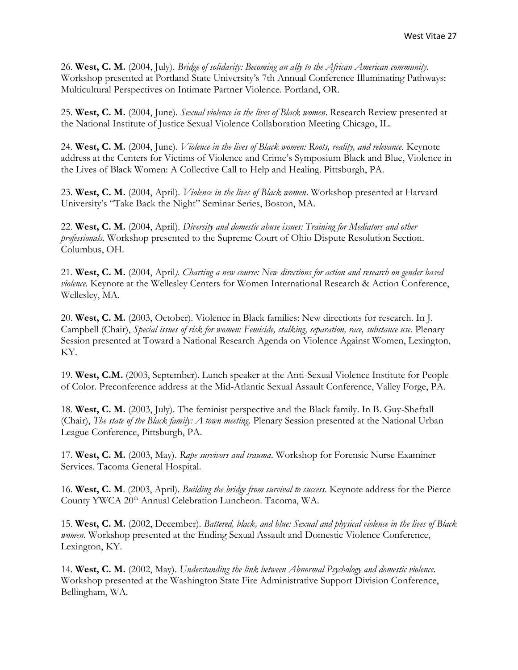26. **West, C. M.** (2004, July). *Bridge of solidarity: Becoming an ally to the African American community.* Workshop presented at Portland State University's 7th Annual Conference Illuminating Pathways: Multicultural Perspectives on Intimate Partner Violence. Portland, OR.

25. **West, C. M.** (2004, June). *Sexual violence in the lives of Black women*. Research Review presented at the National Institute of Justice Sexual Violence Collaboration Meeting Chicago, IL.

24. **West, C. M.** (2004, June). *Violence in the lives of Black women: Roots, reality, and relevance.* Keynote address at the Centers for Victims of Violence and Crime's Symposium Black and Blue, Violence in the Lives of Black Women: A Collective Call to Help and Healing. Pittsburgh, PA.

23. **West, C. M.** (2004, April). *Violence in the lives of Black women*. Workshop presented at Harvard University's "Take Back the Night" Seminar Series, Boston, MA.

22. **West, C. M.** (2004, April). *Diversity and domestic abuse issues: Training for Mediators and other professionals*. Workshop presented to the Supreme Court of Ohio Dispute Resolution Section. Columbus, OH.

21. **West, C. M.** (2004, April*). Charting a new course: New directions for action and research on gender based violence.* Keynote at the Wellesley Centers for Women International Research & Action Conference, Wellesley, MA.

20. **West, C. M.** (2003, October). Violence in Black families: New directions for research. In J. Campbell (Chair), *Special issues of risk for women: Femicide, stalking, separation, race, substance use*. Plenary Session presented at Toward a National Research Agenda on Violence Against Women, Lexington, KY.

19. **West, C.M.** (2003, September). Lunch speaker at the Anti-Sexual Violence Institute for People of Color. Preconference address at the Mid-Atlantic Sexual Assault Conference, Valley Forge, PA.

18. **West, C. M.** (2003, July). The feminist perspective and the Black family. In B. Guy-Sheftall (Chair), *The state of the Black family: A town meeting*. Plenary Session presented at the National Urban League Conference, Pittsburgh, PA.

17. **West, C. M.** (2003, May). *Rape survivors and trauma*. Workshop for Forensic Nurse Examiner Services. Tacoma General Hospital.

16. **West, C. M**. (2003, April). *Building the bridge from survival to success*. Keynote address for the Pierce County YWCA 20<sup>th</sup> Annual Celebration Luncheon. Tacoma, WA.

15. **West, C. M.** (2002, December). *Battered, black, and blue: Sexual and physical violence in the lives of Black women*. Workshop presented at the Ending Sexual Assault and Domestic Violence Conference, Lexington, KY.

14. **West, C. M.** (2002, May). *Understanding the link between Abnormal Psychology and domestic violence*. Workshop presented at the Washington State Fire Administrative Support Division Conference, Bellingham, WA.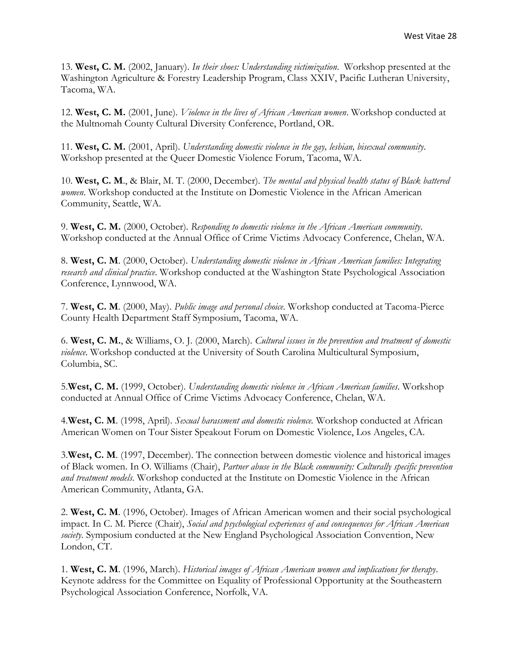13. **West, C. M.** (2002, January). *In their shoes: Understanding victimization*. Workshop presented at the Washington Agriculture & Forestry Leadership Program, Class XXIV, Pacific Lutheran University, Tacoma, WA.

12. **West, C. M.** (2001, June). *Violence in the lives of African American women*. Workshop conducted at the Multnomah County Cultural Diversity Conference, Portland, OR.

11. **West, C. M.** (2001, April). *Understanding domestic violence in the gay, lesbian, bisexual community*. Workshop presented at the Queer Domestic Violence Forum, Tacoma, WA.

10. **West, C. M**., & Blair, M. T. (2000, December). *The mental and physical health status of Black battered women*. Workshop conducted at the Institute on Domestic Violence in the African American Community, Seattle, WA.

9. **West, C. M.** (2000, October). *Responding to domestic violence in the African American community*. Workshop conducted at the Annual Office of Crime Victims Advocacy Conference, Chelan, WA.

8. **West, C. M**. (2000, October). *Understanding domestic violence in African American families: Integrating research and clinical practice*. Workshop conducted at the Washington State Psychological Association Conference, Lynnwood, WA.

7. **West, C. M**. (2000, May). *Public image and personal choice*. Workshop conducted at Tacoma-Pierce County Health Department Staff Symposium, Tacoma, WA.

6. **West, C. M.**, & Williams, O. J. (2000, March). *Cultural issues in the prevention and treatment of domestic violence*. Workshop conducted at the University of South Carolina Multicultural Symposium, Columbia, SC.

5.**West, C. M.** (1999, October). *Understanding domestic violence in African American families*. Workshop conducted at Annual Office of Crime Victims Advocacy Conference, Chelan, WA.

4.**West, C. M**. (1998, April). *Sexual harassment and domestic violence.* Workshop conducted at African American Women on Tour Sister Speakout Forum on Domestic Violence, Los Angeles, CA.

3.**West, C. M**. (1997, December). The connection between domestic violence and historical images of Black women. In O. Williams (Chair), *Partner abuse in the Black community: Culturally specific prevention and treatment models*. Workshop conducted at the Institute on Domestic Violence in the African American Community, Atlanta, GA.

2. **West, C. M**. (1996, October). Images of African American women and their social psychological impact. In C. M. Pierce (Chair), *Social and psychological experiences of and consequences for African American society*. Symposium conducted at the New England Psychological Association Convention, New London, CT.

1. **West, C. M**. (1996, March). *Historical images of African American women and implications for therapy*. Keynote address for the Committee on Equality of Professional Opportunity at the Southeastern Psychological Association Conference, Norfolk, VA.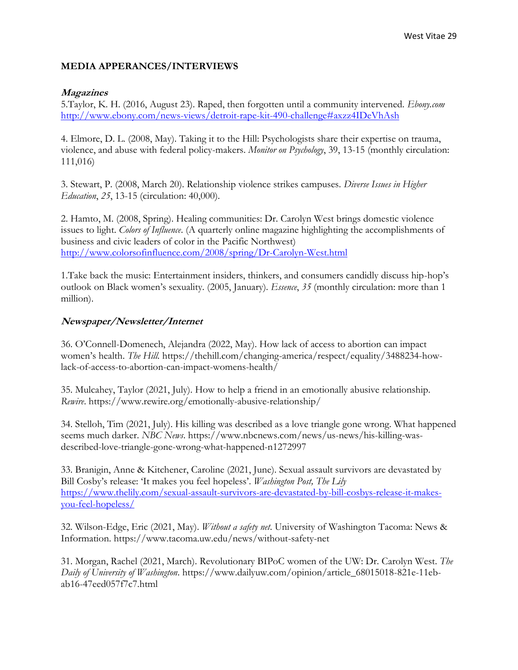#### **MEDIA APPERANCES/INTERVIEWS**

#### **Magazines**

5.Taylor, K. H. (2016, August 23). Raped, then forgotten until a community intervened. *Ebony.com* <http://www.ebony.com/news-views/detroit-rape-kit-490-challenge#axzz4IDeVhAsh>

4. Elmore, D. L. (2008, May). Taking it to the Hill: Psychologists share their expertise on trauma, violence, and abuse with federal policy-makers. *Monitor on Psychology*, 39, 13-15 (monthly circulation: 111,016)

3. Stewart, P. (2008, March 20). Relationship violence strikes campuses. *Diverse Issues in Higher Education*, *25*, 13-15 (circulation: 40,000).

2. Hamto, M. (2008, Spring). Healing communities: Dr. Carolyn West brings domestic violence issues to light. *Colors of Influence*. (A quarterly online magazine highlighting the accomplishments of business and civic leaders of color in the Pacific Northwest) <http://www.colorsofinfluence.com/2008/spring/Dr-Carolyn-West.html>

1.Take back the music: Entertainment insiders, thinkers, and consumers candidly discuss hip-hop's outlook on Black women's sexuality. (2005, January). *Essence*, *35* (monthly circulation: more than 1 million).

#### **Newspaper/Newsletter/Internet**

36. O'Connell-Domenech, Alejandra (2022, May). How lack of access to abortion can impact women's health. *The Hill.* https://thehill.com/changing-america/respect/equality/3488234-howlack-of-access-to-abortion-can-impact-womens-health/

35. Mulcahey, Taylor (2021, July). How to help a friend in an emotionally abusive relationship. *Rewire*. https://www.rewire.org/emotionally-abusive-relationship/

34. Stelloh, Tim (2021, July). His killing was described as a love triangle gone wrong. What happened seems much darker. *NBC News*. https://www.nbcnews.com/news/us-news/his-killing-wasdescribed-love-triangle-gone-wrong-what-happened-n1272997

33. Branigin, Anne & Kitchener, Caroline (2021, June). Sexual assault survivors are devastated by Bill Cosby's release: 'It makes you feel hopeless'. *Washington Post, The Lily* [https://www.thelily.com/sexual-assault-survivors-are-devastated-by-bill-cosbys-release-it-makes](https://www.thelily.com/sexual-assault-survivors-are-devastated-by-bill-cosbys-release-it-makes-you-feel-hopeless/)[you-feel-hopeless/](https://www.thelily.com/sexual-assault-survivors-are-devastated-by-bill-cosbys-release-it-makes-you-feel-hopeless/)

32. Wilson-Edge, Eric (2021, May). *Without a safety net*. University of Washington Tacoma: News & Information. https://www.tacoma.uw.edu/news/without-safety-net

31. Morgan, Rachel (2021, March). Revolutionary BIPoC women of the UW: Dr. Carolyn West. *The Daily of University of Washington*. https://www.dailyuw.com/opinion/article\_68015018-821e-11ebab16-47eed057f7c7.html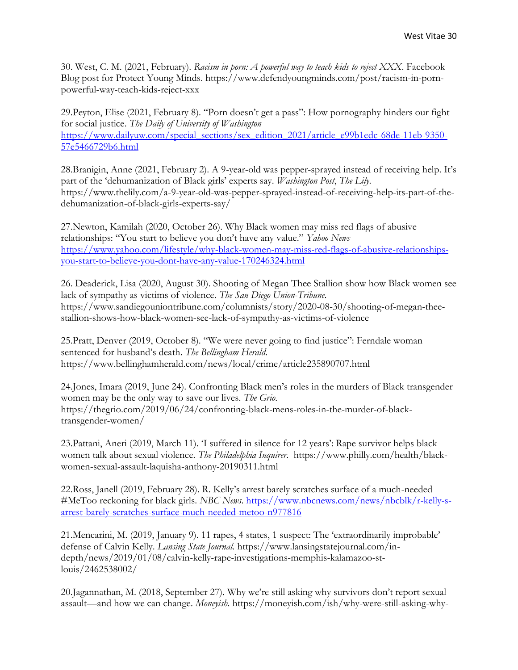30. West, C. M. (2021, February). *Racism in porn: A powerful way to teach kids to reject XXX*. Facebook Blog post for Protect Young Minds. https://www.defendyoungminds.com/post/racism-in-pornpowerful-way-teach-kids-reject-xxx

29.Peyton, Elise (2021, February 8). "Porn doesn't get a pass": How pornography hinders our fight for social justice. *The Daily of University of Washington*  [https://www.dailyuw.com/special\\_sections/sex\\_edition\\_2021/article\\_e99b1edc-68de-11eb-9350-](https://www.dailyuw.com/special_sections/sex_edition_2021/article_e99b1edc-68de-11eb-9350-57e5466729b6.html) [57e5466729b6.html](https://www.dailyuw.com/special_sections/sex_edition_2021/article_e99b1edc-68de-11eb-9350-57e5466729b6.html)

28.Branigin, Anne (2021, February 2). A 9-year-old was pepper-sprayed instead of receiving help. It's part of the 'dehumanization of Black girls' experts say. *Washington Post*, *The Lily*. https://www.thelily.com/a-9-year-old-was-pepper-sprayed-instead-of-receiving-help-its-part-of-thedehumanization-of-black-girls-experts-say/

27.Newton, Kamilah (2020, October 26). Why Black women may miss red flags of abusive relationships: "You start to believe you don't have any value." *Yahoo News* [https://www.yahoo.com/lifestyle/why-black-women-may-miss-red-flags-of-abusive-relationships](https://www.yahoo.com/lifestyle/why-black-women-may-miss-red-flags-of-abusive-relationships-you-start-to-believe-you-dont-have-any-value-170246324.html)[you-start-to-believe-you-dont-have-any-value-170246324.html](https://www.yahoo.com/lifestyle/why-black-women-may-miss-red-flags-of-abusive-relationships-you-start-to-believe-you-dont-have-any-value-170246324.html)

26. Deaderick, Lisa (2020, August 30). Shooting of Megan Thee Stallion show how Black women see lack of sympathy as victims of violence. *The San Diego Union-Tribune*. https://www.sandiegouniontribune.com/columnists/story/2020-08-30/shooting-of-megan-theestallion-shows-how-black-women-see-lack-of-sympathy-as-victims-of-violence

25.Pratt, Denver (2019, October 8). "We were never going to find justice": Ferndale woman sentenced for husband's death. *The Bellingham Herald.*  https://www.bellinghamherald.com/news/local/crime/article235890707.html

24.Jones, Imara (2019, June 24). Confronting Black men's roles in the murders of Black transgender women may be the only way to save our lives. *The Grio*. https://thegrio.com/2019/06/24/confronting-black-mens-roles-in-the-murder-of-blacktransgender-women/

23.Pattani, Aneri (2019, March 11). 'I suffered in silence for 12 years': Rape survivor helps black women talk about sexual violence. *The Philadelphia Inquirer*. https://www.philly.com/health/blackwomen-sexual-assault-laquisha-anthony-20190311.html

22.Ross, Janell (2019, February 28). R. Kelly's arrest barely scratches surface of a much-needed #MeToo reckoning for black girls. *NBC News*. [https://www.nbcnews.com/news/nbcblk/r-kelly-s](https://www.nbcnews.com/news/nbcblk/r-kelly-s-arrest-barely-scratches-surface-much-needed-metoo-n977816)[arrest-barely-scratches-surface-much-needed-metoo-n977816](https://www.nbcnews.com/news/nbcblk/r-kelly-s-arrest-barely-scratches-surface-much-needed-metoo-n977816)

21.Mencarini, M. (2019, January 9). 11 rapes, 4 states, 1 suspect: The 'extraordinarily improbable' defense of Calvin Kelly. *Lansing State Journal.* https://www.lansingstatejournal.com/indepth/news/2019/01/08/calvin-kelly-rape-investigations-memphis-kalamazoo-stlouis/2462538002/

20.Jagannathan, M. (2018, September 27). Why we're still asking why survivors don't report sexual assault—and how we can change. *Moneyish*. https://moneyish.com/ish/why-were-still-asking-why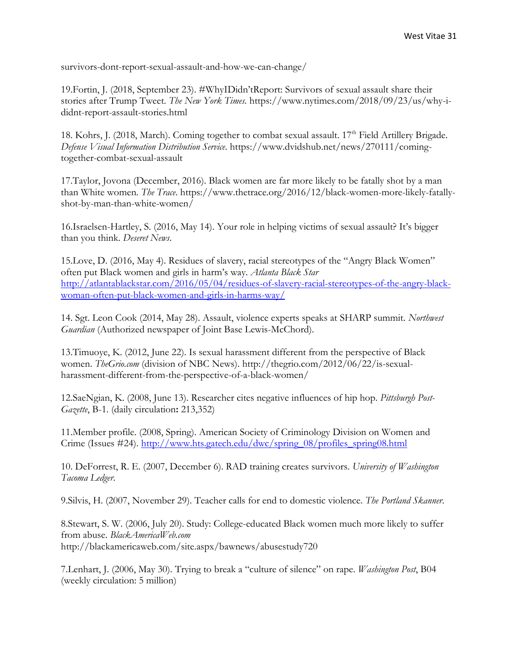survivors-dont-report-sexual-assault-and-how-we-can-change/

19.Fortin, J. (2018, September 23). #WhyIDidn'tReport: Survivors of sexual assault share their stories after Trump Tweet. *The New York Times.* https://www.nytimes.com/2018/09/23/us/why-ididnt-report-assault-stories.html

18. Kohrs, J. (2018, March). Coming together to combat sexual assault. 17<sup>th</sup> Field Artillery Brigade. *Defense Visual Information Distribution Service*. https://www.dvidshub.net/news/270111/comingtogether-combat-sexual-assault

17.Taylor, Jovona (December, 2016). Black women are far more likely to be fatally shot by a man than White women. *The Trace*. https://www.thetrace.org/2016/12/black-women-more-likely-fatallyshot-by-man-than-white-women/

16.Israelsen-Hartley, S. (2016, May 14). Your role in helping victims of sexual assault? It's bigger than you think. *Deseret News*.

15.Love, D. (2016, May 4). Residues of slavery, racial stereotypes of the "Angry Black Women" often put Black women and girls in harm's way. *Atlanta Black Star* [http://atlantablackstar.com/2016/05/04/residues-of-slavery-racial-stereotypes-of-the-angry-black](http://atlantablackstar.com/2016/05/04/residues-of-slavery-racial-stereotypes-of-the-angry-black-woman-often-put-black-women-and-girls-in-harms-way/)[woman-often-put-black-women-and-girls-in-harms-way/](http://atlantablackstar.com/2016/05/04/residues-of-slavery-racial-stereotypes-of-the-angry-black-woman-often-put-black-women-and-girls-in-harms-way/)

14. Sgt. Leon Cook (2014, May 28). Assault, violence experts speaks at SHARP summit. *Northwest Guardian* (Authorized newspaper of Joint Base Lewis-McChord).

13.Timuoye, K. (2012, June 22). Is sexual harassment different from the perspective of Black women. *TheGrio.com* (division of NBC News). http://thegrio.com/2012/06/22/is-sexualharassment-different-from-the-perspective-of-a-black-women/

12.SaeNgian, K. (2008, June 13). Researcher cites negative influences of hip hop. *Pittsburgh Post-Gazette*, B-1. (daily circulation**:** 213,352)

11.Member profile. (2008, Spring). American Society of Criminology Division on Women and Crime (Issues #24). [http://www.hts.gatech.edu/dwc/spring\\_08/profiles\\_spring08.html](http://www.hts.gatech.edu/dwc/spring_08/profiles_spring08.html)

10. DeForrest, R. E. (2007, December 6). RAD training creates survivors. *University of Washington Tacoma Ledger*.

9.Silvis, H. (2007, November 29). Teacher calls for end to domestic violence. *The Portland Skanner*.

8.Stewart, S. W. (2006, July 20). Study: College-educated Black women much more likely to suffer from abuse. *BlackAmericaWeb.com* http://blackamericaweb.com/site.aspx/bawnews/abusestudy720

7.Lenhart, J. (2006, May 30). Trying to break a "culture of silence" on rape. *Washington Post*, B04 (weekly circulation: 5 million)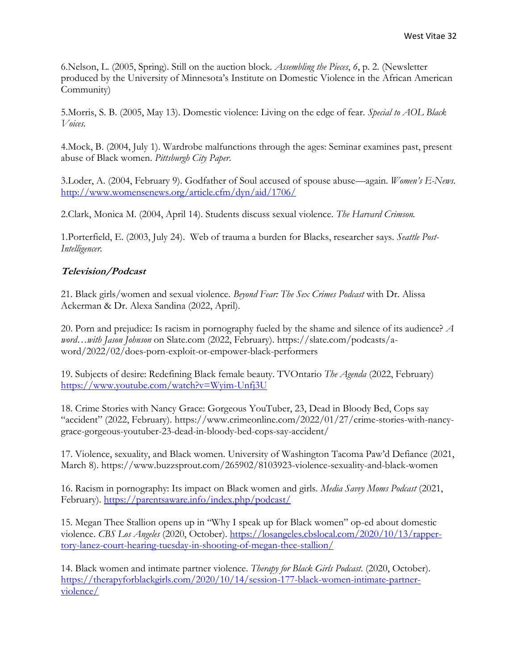6.Nelson, L. (2005, Spring). Still on the auction block. *Assembling the Pieces*, *6*, p. 2. (Newsletter produced by the University of Minnesota's Institute on Domestic Violence in the African American Community)

5.Morris, S. B. (2005, May 13). Domestic violence: Living on the edge of fear. *Special to AOL Black Voices.* 

4.Mock, B. (2004, July 1). Wardrobe malfunctions through the ages: Seminar examines past, present abuse of Black women. *Pittsburgh City Paper*.

3.Loder, A. (2004, February 9). Godfather of Soul accused of spouse abuse—again. *Women's E-News*. <http://www.womensenews.org/article.cfm/dyn/aid/1706/>

2.Clark, Monica M. (2004, April 14). Students discuss sexual violence. *The Harvard Crimson.*

1.Porterfield, E. (2003, July 24). Web of trauma a burden for Blacks, researcher says. *Seattle Post-Intelligencer.* 

#### **Television/Podcast**

21. Black girls/women and sexual violence. *Beyond Fear: The Sex Crimes Podcast* with Dr. Alissa Ackerman & Dr. Alexa Sandina (2022, April).

20. Porn and prejudice: Is racism in pornography fueled by the shame and silence of its audience? *A word…with Jason Johnson* on Slate.com (2022, February). https://slate.com/podcasts/aword/2022/02/does-porn-exploit-or-empower-black-performers

19. Subjects of desire: Redefining Black female beauty. TVOntario *The Agenda* (2022, February) <https://www.youtube.com/watch?v=Wyim-Unfj3U>

18. Crime Stories with Nancy Grace: Gorgeous YouTuber, 23, Dead in Bloody Bed, Cops say "accident" (2022, February). https://www.crimeonline.com/2022/01/27/crime-stories-with-nancygrace-gorgeous-youtuber-23-dead-in-bloody-bed-cops-say-accident/

17. Violence, sexuality, and Black women. University of Washington Tacoma Paw'd Defiance (2021, March 8). https://www.buzzsprout.com/265902/8103923-violence-sexuality-and-black-women

16. Racism in pornography: Its impact on Black women and girls. *Media Savvy Moms Podcast* (2021, February).<https://parentsaware.info/index.php/podcast/>

15. Megan Thee Stallion opens up in "Why I speak up for Black women" op-ed about domestic violence. *CBS Los Angeles* (2020, October). [https://losangeles.cbslocal.com/2020/10/13/rapper](https://losangeles.cbslocal.com/2020/10/13/rapper-tory-lanez-court-hearing-tuesday-in-shooting-of-megan-thee-stallion/)[tory-lanez-court-hearing-tuesday-in-shooting-of-megan-thee-stallion/](https://losangeles.cbslocal.com/2020/10/13/rapper-tory-lanez-court-hearing-tuesday-in-shooting-of-megan-thee-stallion/)

14. Black women and intimate partner violence. *Therapy for Black Girls Podcast*. (2020, October). [https://therapyforblackgirls.com/2020/10/14/session-177-black-women-intimate-partner](https://therapyforblackgirls.com/2020/10/14/session-177-black-women-intimate-partner-violence/)[violence/](https://therapyforblackgirls.com/2020/10/14/session-177-black-women-intimate-partner-violence/)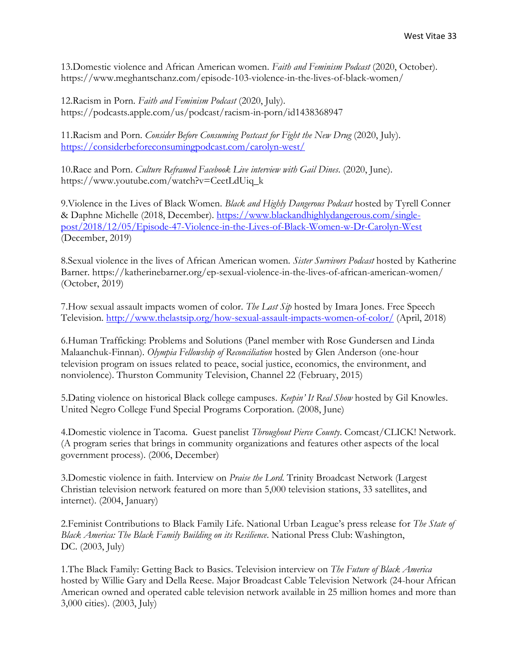13.Domestic violence and African American women. *Faith and Feminism Podcast* (2020, October). https://www.meghantschanz.com/episode-103-violence-in-the-lives-of-black-women/

12.Racism in Porn. *Faith and Feminism Podcast* (2020, July). https://podcasts.apple.com/us/podcast/racism-in-porn/id1438368947

11.Racism and Porn. *Consider Before Consuming Postcast for Fight the New Drug* (2020, July). <https://considerbeforeconsumingpodcast.com/carolyn-west/>

10.Race and Porn. *Culture Reframed Facebook Live interview with Gail Dines*. (2020, June). https://www.youtube.com/watch?v=CeetLdUiq\_k

9.Violence in the Lives of Black Women. *Black and Highly Dangerous Podcast* hosted by Tyrell Conner & Daphne Michelle (2018, December). [https://www.blackandhighlydangerous.com/single](https://www.blackandhighlydangerous.com/single-post/2018/12/05/Episode-47-Violence-in-the-Lives-of-Black-Women-w-Dr-Carolyn-West)[post/2018/12/05/Episode-47-Violence-in-the-Lives-of-Black-Women-w-Dr-Carolyn-West](https://www.blackandhighlydangerous.com/single-post/2018/12/05/Episode-47-Violence-in-the-Lives-of-Black-Women-w-Dr-Carolyn-West) (December, 2019)

8.Sexual violence in the lives of African American women. *Sister Survivors Podcast* hosted by Katherine Barner. https://katherinebarner.org/ep-sexual-violence-in-the-lives-of-african-american-women/ (October, 2019)

7.How sexual assault impacts women of color. *The Last Sip* hosted by Imara Jones. Free Speech Television.<http://www.thelastsip.org/how-sexual-assault-impacts-women-of-color/> (April, 2018)

6.Human Trafficking: Problems and Solutions (Panel member with Rose Gundersen and Linda Malaanchuk-Finnan). *Olympia Fellowship of Reconciliation* hosted by Glen Anderson (one-hour television program on issues related to peace, social justice, economics, the environment, and nonviolence). Thurston Community Television, Channel 22 (February, 2015)

5.Dating violence on historical Black college campuses. *Keepin' It Real Show* hosted by Gil Knowles. United Negro College Fund Special Programs Corporation. (2008, June)

4.Domestic violence in Tacoma. Guest panelist *Throughout Pierce County*. Comcast/CLICK! Network. (A program series that brings in community organizations and features other aspects of the local government process). (2006, December)

3.Domestic violence in faith. Interview on *Praise the Lord*. Trinity Broadcast Network (Largest Christian television network featured on more than 5,000 television stations, 33 satellites, and internet). (2004, January)

2.Feminist Contributions to Black Family Life. National Urban League's press release for *The State of Black America: The Black Family Building on its Resilience*. National Press Club: Washington, DC. (2003, July)

1.The Black Family: Getting Back to Basics. Television interview on *The Future of Black America* hosted by Willie Gary and Della Reese. Major Broadcast Cable Television Network (24-hour African American owned and operated cable television network available in 25 million homes and more than 3,000 cities). (2003, July)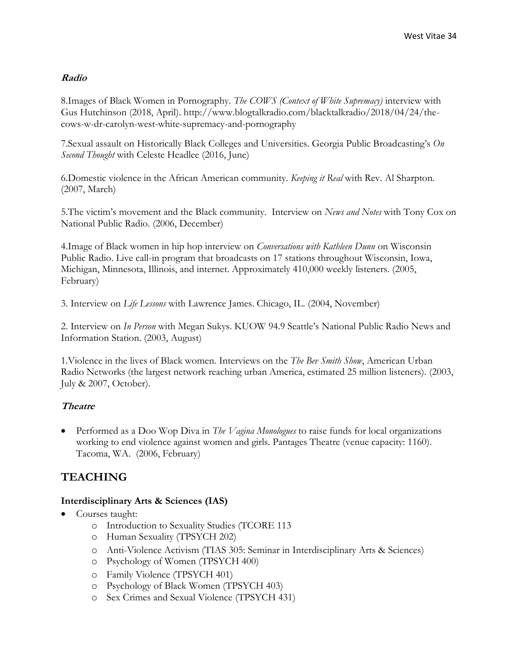#### **Radio**

8.Images of Black Women in Pornography. *The COWS (Context of White Supremacy)* interview with Gus Hutchinson (2018, April). http://www.blogtalkradio.com/blacktalkradio/2018/04/24/thecows-w-dr-carolyn-west-white-supremacy-and-pornography

7.Sexual assault on Historically Black Colleges and Universities. Georgia Public Broadcasting's *On Second Thought* with Celeste Headlee (2016, June)

6.Domestic violence in the African American community. *Keeping it Real* with Rev. Al Sharpton*.* (2007, March)

5.The victim's movement and the Black community. Interview on *News and Notes* with Tony Cox on National Public Radio. (2006, December)

4.Image of Black women in hip hop interview on *Conversations with Kathleen Dunn* on Wisconsin Public Radio. Live call-in program that broadcasts on 17 stations throughout Wisconsin, Iowa, Michigan, Minnesota, Illinois, and internet. Approximately 410,000 weekly listeners. (2005, February)

3. Interview on *Life Lessons* with Lawrence James. Chicago, IL. (2004, November)

2. Interview on *In Person* with Megan Sukys. KUOW 94.9 Seattle's National Public Radio News and Information Station. (2003, August)

1.Violence in the lives of Black women. Interviews on the *The Bev Smith Show*, American Urban Radio Networks (the largest network reaching urban America, estimated 25 million listeners). (2003, July & 2007, October).

#### **Theatre**

• Performed as a Doo Wop Diva in *The Vagina Monologues* to raise funds for local organizations working to end violence against women and girls. Pantages Theatre (venue capacity: 1160). Tacoma, WA. (2006, February)

# **TEACHING**

#### **Interdisciplinary Arts & Sciences (IAS)**

- Courses taught:
	- o Introduction to Sexuality Studies (TCORE 113
	- o Human Sexuality (TPSYCH 202)
	- o Anti-Violence Activism (TIAS 305: Seminar in Interdisciplinary Arts & Sciences)
	- o Psychology of Women (TPSYCH 400)
	- o Family Violence (TPSYCH 401)
	- o Psychology of Black Women (TPSYCH 403)
	- o Sex Crimes and Sexual Violence (TPSYCH 431)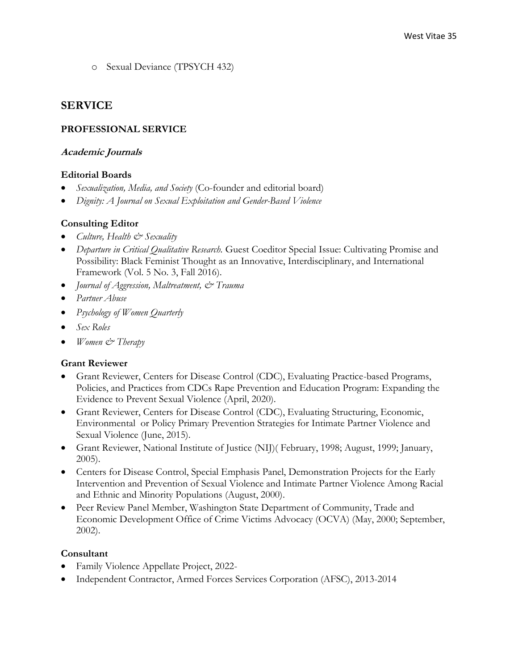o Sexual Deviance (TPSYCH 432)

#### **SERVICE**

#### **PROFESSIONAL SERVICE**

#### **Academic Journals**

#### **Editorial Boards**

- *Sexualization, Media, and Society* (Co-founder and editorial board)
- *Dignity: A Journal on Sexual Exploitation and Gender-Based Violence*

#### **Consulting Editor**

- *Culture, Health & Sexuality*
- *Departure in Critical Qualitative Research.* Guest Coeditor Special Issue: Cultivating Promise and Possibility: Black Feminist Thought as an Innovative, Interdisciplinary, and International Framework (Vol. 5 No. 3, Fall 2016).
- *Journal of Aggression, Maltreatment, & Trauma*
- *Partner Abuse*
- *Psychology of Women Quarterly*
- *Sex Roles*
- *Women & Therapy*

#### **Grant Reviewer**

- Grant Reviewer, Centers for Disease Control (CDC), Evaluating Practice-based Programs, Policies, and Practices from CDCs Rape Prevention and Education Program: Expanding the Evidence to Prevent Sexual Violence (April, 2020).
- Grant Reviewer, Centers for Disease Control (CDC), Evaluating Structuring, Economic, Environmental or Policy Primary Prevention Strategies for Intimate Partner Violence and Sexual Violence (June, 2015).
- Grant Reviewer, National Institute of Justice (NIJ)( February, 1998; August, 1999; January, 2005).
- Centers for Disease Control, Special Emphasis Panel, Demonstration Projects for the Early Intervention and Prevention of Sexual Violence and Intimate Partner Violence Among Racial and Ethnic and Minority Populations (August, 2000).
- Peer Review Panel Member, Washington State Department of Community, Trade and Economic Development Office of Crime Victims Advocacy (OCVA) (May, 2000; September, 2002).

#### **Consultant**

- Family Violence Appellate Project, 2022-
- Independent Contractor, Armed Forces Services Corporation (AFSC), 2013-2014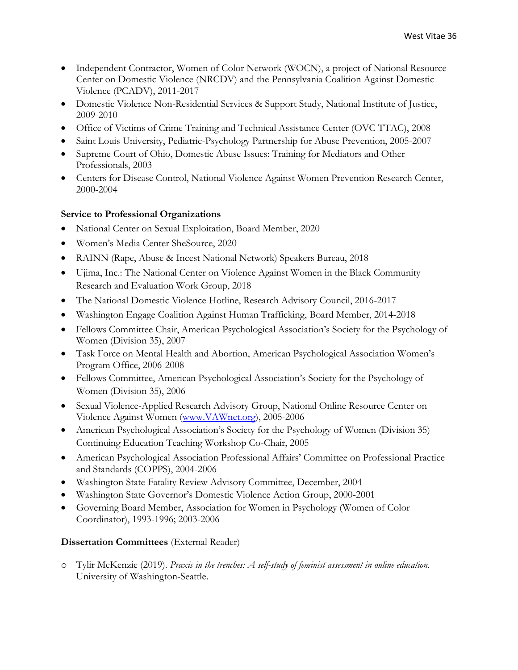- Independent Contractor, Women of Color Network (WOCN), a project of National Resource Center on Domestic Violence (NRCDV) and the Pennsylvania Coalition Against Domestic Violence (PCADV), 2011-2017
- Domestic Violence Non-Residential Services & Support Study, National Institute of Justice, 2009-2010
- Office of Victims of Crime Training and Technical Assistance Center (OVC TTAC), 2008
- Saint Louis University, Pediatric-Psychology Partnership for Abuse Prevention, 2005-2007
- Supreme Court of Ohio, Domestic Abuse Issues: Training for Mediators and Other Professionals, 2003
- Centers for Disease Control, National Violence Against Women Prevention Research Center, 2000-2004

#### **Service to Professional Organizations**

- National Center on Sexual Exploitation, Board Member, 2020
- Women's Media Center SheSource, 2020
- RAINN (Rape, Abuse & Incest National Network) Speakers Bureau, 2018
- Ujima, Inc.: The National Center on Violence Against Women in the Black Community Research and Evaluation Work Group, 2018
- The National Domestic Violence Hotline, Research Advisory Council, 2016-2017
- Washington Engage Coalition Against Human Trafficking, Board Member, 2014-2018
- Fellows Committee Chair, American Psychological Association's Society for the Psychology of Women (Division 35), 2007
- Task Force on Mental Health and Abortion, American Psychological Association Women's Program Office, 2006-2008
- Fellows Committee, American Psychological Association's Society for the Psychology of Women (Division 35), 2006
- Sexual Violence-Applied Research Advisory Group, National Online Resource Center on Violence Against Women [\(www.VAWnet.org\)](http://www.vawnet.org/), 2005-2006
- American Psychological Association's Society for the Psychology of Women (Division 35) Continuing Education Teaching Workshop Co-Chair, 2005
- American Psychological Association Professional Affairs' Committee on Professional Practice and Standards (COPPS), 2004-2006
- Washington State Fatality Review Advisory Committee, December, 2004
- Washington State Governor's Domestic Violence Action Group, 2000-2001
- Governing Board Member, Association for Women in Psychology (Women of Color Coordinator), 1993-1996; 2003-2006

#### **Dissertation Committees** (External Reader)

o Tylir McKenzie (2019). *Praxis in the trenches: A self-study of feminist assessment in online education.*  University of Washington-Seattle.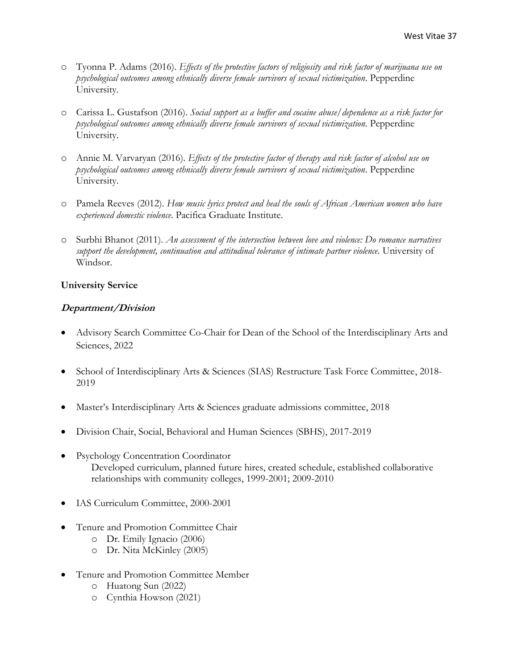- o Tyonna P. Adams (2016). *Effects of the protective factors of religiosity and risk factor of marijuana use on psychological outcomes among ethnically diverse female survivors of sexual victimization*. Pepperdine University.
- o Carissa L. Gustafson (2016). *Social support as a buffer and cocaine abuse/dependence as a risk factor for psychological outcomes among ethnically diverse female survivors of sexual victimization*. Pepperdine University.
- o Annie M. Varvaryan (2016). *Effects of the protective factor of therapy and risk factor of alcohol use on psychological outcomes among ethnically diverse female survivors of sexual victimization*. Pepperdine University.
- o Pamela Reeves (2012). *How music lyrics protect and heal the souls of African American women who have experienced domestic violence*. Pacifica Graduate Institute.
- o Surbhi Bhanot (2011). *An assessment of the intersection between love and violence: Do romance narratives support the development, continuation and attitudinal tolerance of intimate partner violence.* University of Windsor.

#### **University Service**

### **Department/Division**

- Advisory Search Committee Co-Chair for Dean of the School of the Interdisciplinary Arts and Sciences, 2022
- School of Interdisciplinary Arts & Sciences (SIAS) Restructure Task Force Committee, 2018- 2019
- Master's Interdisciplinary Arts & Sciences graduate admissions committee, 2018
- Division Chair, Social, Behavioral and Human Sciences (SBHS), 2017-2019
- Psychology Concentration Coordinator Developed curriculum, planned future hires, created schedule, established collaborative relationships with community colleges, 1999-2001; 2009-2010
- IAS Curriculum Committee, 2000-2001
- Tenure and Promotion Committee Chair
	- o Dr. Emily Ignacio (2006)
	- o Dr. Nita McKinley (2005)
- Tenure and Promotion Committee Member
	- o Huatong Sun (2022)
	- o Cynthia Howson (2021)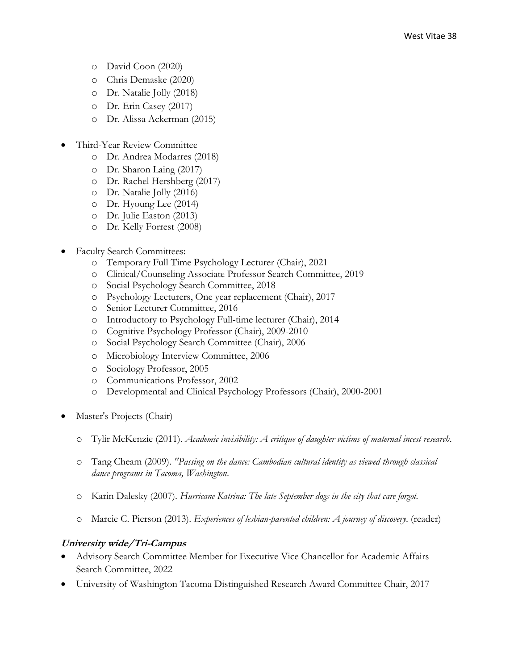- o David Coon (2020)
- o Chris Demaske (2020)
- o Dr. Natalie Jolly (2018)
- o Dr. Erin Casey (2017)
- o Dr. Alissa Ackerman (2015)
- Third-Year Review Committee
	- o Dr. Andrea Modarres (2018)
	- o Dr. Sharon Laing (2017)
	- o Dr. Rachel Hershberg (2017)
	- o Dr. Natalie Jolly (2016)
	- o Dr. Hyoung Lee (2014)
	- o Dr. Julie Easton (2013)
	- o Dr. Kelly Forrest (2008)
- Faculty Search Committees:
	- o Temporary Full Time Psychology Lecturer (Chair), 2021
	- o Clinical/Counseling Associate Professor Search Committee, 2019
	- o Social Psychology Search Committee, 2018
	- o Psychology Lecturers, One year replacement (Chair), 2017
	- o Senior Lecturer Committee, 2016
	- o Introductory to Psychology Full-time lecturer (Chair), 2014
	- o Cognitive Psychology Professor (Chair), 2009-2010
	- o Social Psychology Search Committee (Chair), 2006
	- o Microbiology Interview Committee, 2006
	- o Sociology Professor, 2005
	- o Communications Professor, 2002
	- o Developmental and Clinical Psychology Professors (Chair), 2000-2001
- Master's Projects (Chair)
	- o Tylir McKenzie (2011). *Academic invisibility: A critique of daughter victims of maternal incest research*.
	- o Tang Cheam (2009). *"Passing on the dance: Cambodian cultural identity as viewed through classical dance programs in Tacoma, Washington*.
	- o Karin Dalesky (2007). *Hurricane Katrina: The late September dogs in the city that care forgot.*
	- o Marcie C. Pierson (2013). *Experiences of lesbian-parented children: A journey of discovery*. (reader)

# **University wide/Tri-Campus**

- Advisory Search Committee Member for Executive Vice Chancellor for Academic Affairs Search Committee, 2022
- University of Washington Tacoma Distinguished Research Award Committee Chair, 2017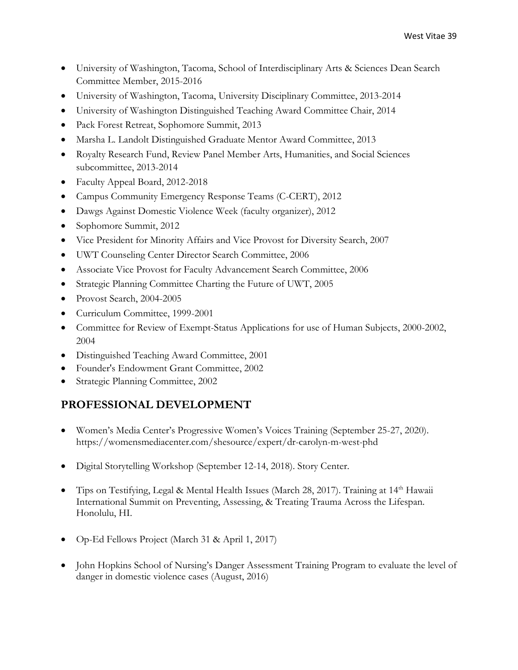- University of Washington, Tacoma, School of Interdisciplinary Arts & Sciences Dean Search Committee Member, 2015-2016
- University of Washington, Tacoma, University Disciplinary Committee, 2013-2014
- University of Washington Distinguished Teaching Award Committee Chair, 2014
- Pack Forest Retreat, Sophomore Summit, 2013
- Marsha L. Landolt Distinguished Graduate Mentor Award Committee, 2013
- Royalty Research Fund, Review Panel Member Arts, Humanities, and Social Sciences subcommittee, 2013-2014
- Faculty Appeal Board, 2012-2018
- Campus Community Emergency Response Teams (C-CERT), 2012
- Dawgs Against Domestic Violence Week (faculty organizer), 2012
- Sophomore Summit, 2012
- Vice President for Minority Affairs and Vice Provost for Diversity Search, 2007
- UWT Counseling Center Director Search Committee, 2006
- Associate Vice Provost for Faculty Advancement Search Committee, 2006
- Strategic Planning Committee Charting the Future of UWT, 2005
- Provost Search, 2004-2005
- Curriculum Committee, 1999-2001
- Committee for Review of Exempt-Status Applications for use of Human Subjects, 2000-2002, 2004
- Distinguished Teaching Award Committee, 2001
- Founder's Endowment Grant Committee, 2002
- Strategic Planning Committee, 2002

# **PROFESSIONAL DEVELOPMENT**

- Women's Media Center's Progressive Women's Voices Training (September 25-27, 2020). https://womensmediacenter.com/shesource/expert/dr-carolyn-m-west-phd
- Digital Storytelling Workshop (September 12-14, 2018). Story Center.
- Tips on Testifying, Legal & Mental Health Issues (March 28, 2017). Training at 14th Hawaii International Summit on Preventing, Assessing, & Treating Trauma Across the Lifespan. Honolulu, HI.
- Op-Ed Fellows Project (March 31 & April 1, 2017)
- John Hopkins School of Nursing's Danger Assessment Training Program to evaluate the level of danger in domestic violence cases (August, 2016)